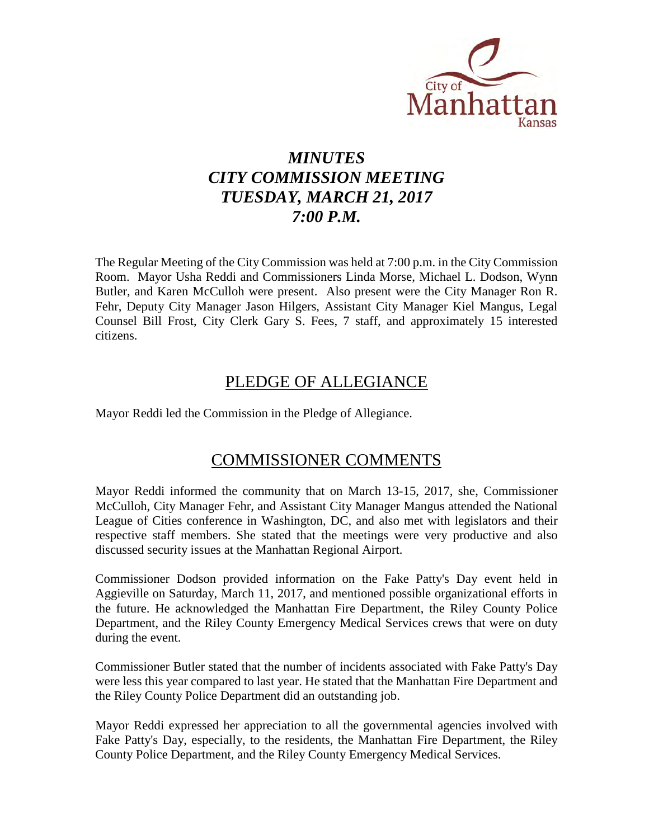

# *MINUTES CITY COMMISSION MEETING TUESDAY, MARCH 21, 2017 7:00 P.M.*

The Regular Meeting of the City Commission was held at 7:00 p.m. in the City Commission Room. Mayor Usha Reddi and Commissioners Linda Morse, Michael L. Dodson, Wynn Butler, and Karen McCulloh were present. Also present were the City Manager Ron R. Fehr, Deputy City Manager Jason Hilgers, Assistant City Manager Kiel Mangus, Legal Counsel Bill Frost, City Clerk Gary S. Fees, 7 staff, and approximately 15 interested citizens.

## PLEDGE OF ALLEGIANCE

Mayor Reddi led the Commission in the Pledge of Allegiance.

## COMMISSIONER COMMENTS

Mayor Reddi informed the community that on March 13-15, 2017, she, Commissioner McCulloh, City Manager Fehr, and Assistant City Manager Mangus attended the National League of Cities conference in Washington, DC, and also met with legislators and their respective staff members. She stated that the meetings were very productive and also discussed security issues at the Manhattan Regional Airport.

Commissioner Dodson provided information on the Fake Patty's Day event held in Aggieville on Saturday, March 11, 2017, and mentioned possible organizational efforts in the future. He acknowledged the Manhattan Fire Department, the Riley County Police Department, and the Riley County Emergency Medical Services crews that were on duty during the event.

Commissioner Butler stated that the number of incidents associated with Fake Patty's Day were less this year compared to last year. He stated that the Manhattan Fire Department and the Riley County Police Department did an outstanding job.

Mayor Reddi expressed her appreciation to all the governmental agencies involved with Fake Patty's Day, especially, to the residents, the Manhattan Fire Department, the Riley County Police Department, and the Riley County Emergency Medical Services.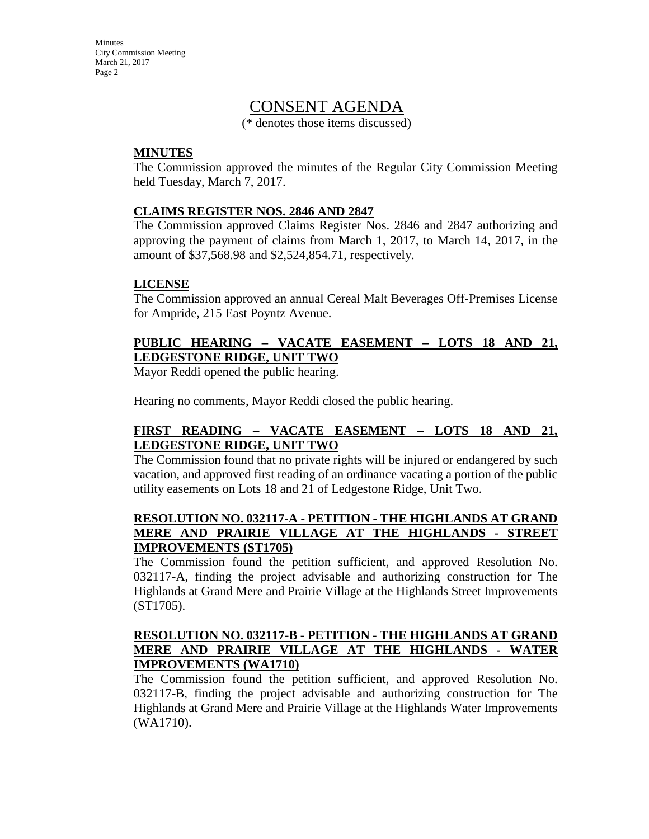## CONSENT AGENDA

(\* denotes those items discussed)

### **MINUTES**

The Commission approved the minutes of the Regular City Commission Meeting held Tuesday, March 7, 2017.

### **CLAIMS REGISTER NOS. 2846 AND 2847**

The Commission approved Claims Register Nos. 2846 and 2847 authorizing and approving the payment of claims from March 1, 2017, to March 14, 2017, in the amount of \$37,568.98 and \$2,524,854.71, respectively.

### **LICENSE**

The Commission approved an annual Cereal Malt Beverages Off-Premises License for Ampride, 215 East Poyntz Avenue.

## **PUBLIC HEARING – VACATE EASEMENT – LOTS 18 AND 21, LEDGESTONE RIDGE, UNIT TWO**

Mayor Reddi opened the public hearing.

Hearing no comments, Mayor Reddi closed the public hearing.

## **FIRST READING – VACATE EASEMENT – LOTS 18 AND 21, LEDGESTONE RIDGE, UNIT TWO**

The Commission found that no private rights will be injured or endangered by such vacation, and approved first reading of an ordinance vacating a portion of the public utility easements on Lots 18 and 21 of Ledgestone Ridge, Unit Two.

## **RESOLUTION NO. 032117-A - PETITION - THE HIGHLANDS AT GRAND MERE AND PRAIRIE VILLAGE AT THE HIGHLANDS - STREET IMPROVEMENTS (ST1705)**

The Commission found the petition sufficient, and approved Resolution No. 032117-A, finding the project advisable and authorizing construction for The Highlands at Grand Mere and Prairie Village at the Highlands Street Improvements (ST1705).

### **RESOLUTION NO. 032117-B - PETITION - THE HIGHLANDS AT GRAND MERE AND PRAIRIE VILLAGE AT THE HIGHLANDS - WATER IMPROVEMENTS (WA1710)**

The Commission found the petition sufficient, and approved Resolution No. 032117-B, finding the project advisable and authorizing construction for The Highlands at Grand Mere and Prairie Village at the Highlands Water Improvements (WA1710).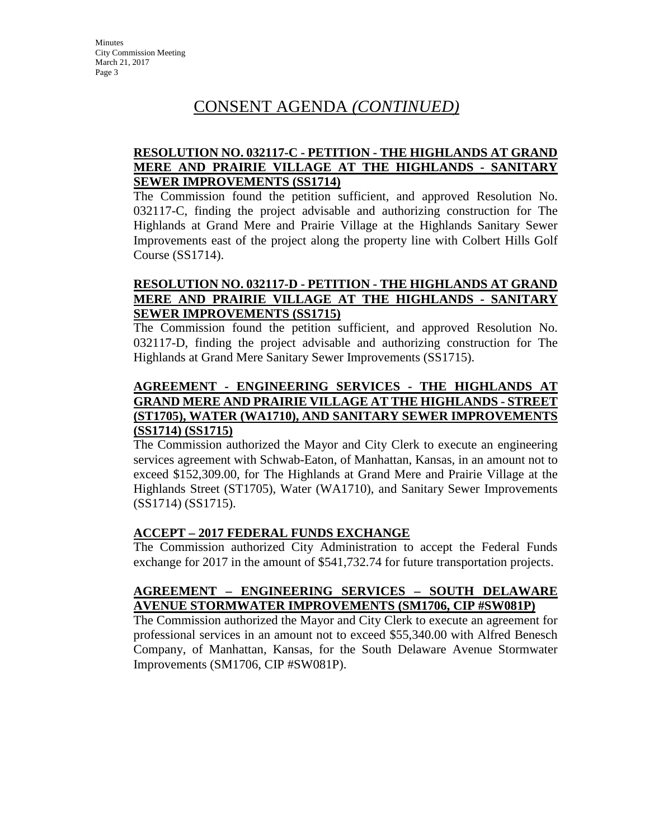# CONSENT AGENDA *(CONTINUED)*

### **RESOLUTION NO. 032117-C - PETITION - THE HIGHLANDS AT GRAND MERE AND PRAIRIE VILLAGE AT THE HIGHLANDS - SANITARY SEWER IMPROVEMENTS (SS1714)**

The Commission found the petition sufficient, and approved Resolution No. 032117-C, finding the project advisable and authorizing construction for The Highlands at Grand Mere and Prairie Village at the Highlands Sanitary Sewer Improvements east of the project along the property line with Colbert Hills Golf Course (SS1714).

### **RESOLUTION NO. 032117-D - PETITION - THE HIGHLANDS AT GRAND MERE AND PRAIRIE VILLAGE AT THE HIGHLANDS - SANITARY SEWER IMPROVEMENTS (SS1715)**

The Commission found the petition sufficient, and approved Resolution No. 032117-D, finding the project advisable and authorizing construction for The Highlands at Grand Mere Sanitary Sewer Improvements (SS1715).

## **AGREEMENT - ENGINEERING SERVICES - THE HIGHLANDS AT GRAND MERE AND PRAIRIE VILLAGE AT THE HIGHLANDS - STREET (ST1705), WATER (WA1710), AND SANITARY SEWER IMPROVEMENTS (SS1714) (SS1715)**

The Commission authorized the Mayor and City Clerk to execute an engineering services agreement with Schwab-Eaton, of Manhattan, Kansas, in an amount not to exceed \$152,309.00, for The Highlands at Grand Mere and Prairie Village at the Highlands Street (ST1705), Water (WA1710), and Sanitary Sewer Improvements (SS1714) (SS1715).

## **ACCEPT – 2017 FEDERAL FUNDS EXCHANGE**

The Commission authorized City Administration to accept the Federal Funds exchange for 2017 in the amount of \$541,732.74 for future transportation projects.

### **AGREEMENT – ENGINEERING SERVICES – SOUTH DELAWARE AVENUE STORMWATER IMPROVEMENTS (SM1706, CIP #SW081P)**

The Commission authorized the Mayor and City Clerk to execute an agreement for professional services in an amount not to exceed \$55,340.00 with Alfred Benesch Company, of Manhattan, Kansas, for the South Delaware Avenue Stormwater Improvements (SM1706, CIP #SW081P).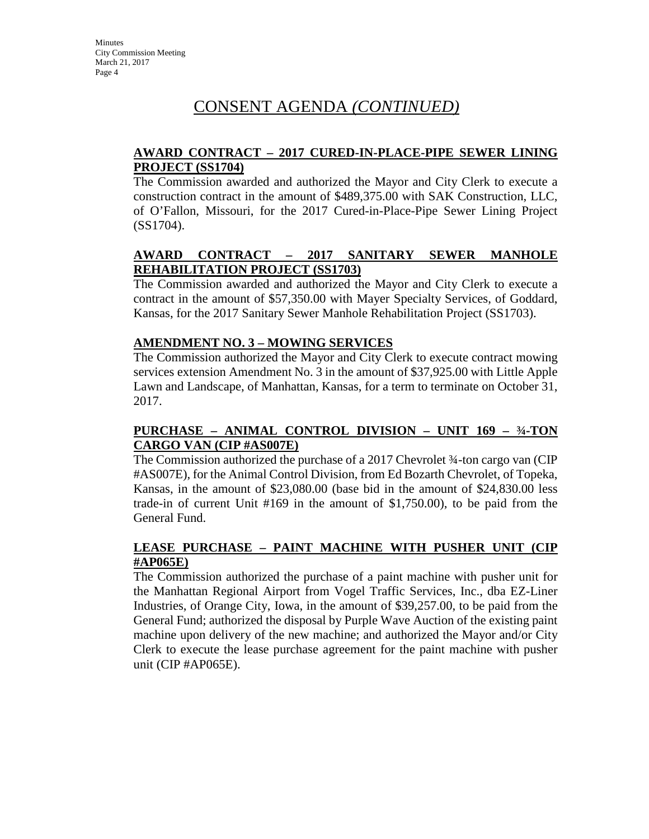# CONSENT AGENDA *(CONTINUED)*

## **AWARD CONTRACT – 2017 CURED-IN-PLACE-PIPE SEWER LINING PROJECT (SS1704)**

The Commission awarded and authorized the Mayor and City Clerk to execute a construction contract in the amount of \$489,375.00 with SAK Construction, LLC, of O'Fallon, Missouri, for the 2017 Cured-in-Place-Pipe Sewer Lining Project (SS1704).

## **AWARD CONTRACT – 2017 SANITARY SEWER MANHOLE REHABILITATION PROJECT (SS1703)**

The Commission awarded and authorized the Mayor and City Clerk to execute a contract in the amount of \$57,350.00 with Mayer Specialty Services, of Goddard, Kansas, for the 2017 Sanitary Sewer Manhole Rehabilitation Project (SS1703).

## **AMENDMENT NO. 3 – MOWING SERVICES**

The Commission authorized the Mayor and City Clerk to execute contract mowing services extension Amendment No. 3 in the amount of \$37,925.00 with Little Apple Lawn and Landscape, of Manhattan, Kansas, for a term to terminate on October 31, 2017.

## **PURCHASE – ANIMAL CONTROL DIVISION – UNIT 169 – ¾-TON CARGO VAN (CIP #AS007E)**

The Commission authorized the purchase of a 2017 Chevrolet ¾-ton cargo van (CIP #AS007E), for the Animal Control Division, from Ed Bozarth Chevrolet, of Topeka, Kansas, in the amount of \$23,080.00 (base bid in the amount of \$24,830.00 less trade-in of current Unit #169 in the amount of \$1,750.00), to be paid from the General Fund.

## **LEASE PURCHASE – PAINT MACHINE WITH PUSHER UNIT (CIP #AP065E)**

The Commission authorized the purchase of a paint machine with pusher unit for the Manhattan Regional Airport from Vogel Traffic Services, Inc., dba EZ-Liner Industries, of Orange City, Iowa, in the amount of \$39,257.00, to be paid from the General Fund; authorized the disposal by Purple Wave Auction of the existing paint machine upon delivery of the new machine; and authorized the Mayor and/or City Clerk to execute the lease purchase agreement for the paint machine with pusher unit (CIP #AP065E).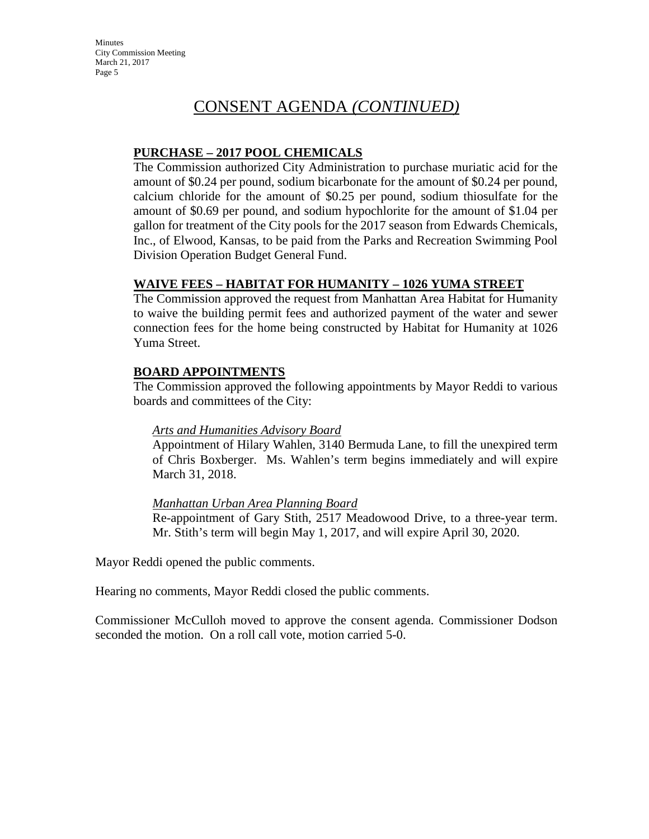# CONSENT AGENDA *(CONTINUED)*

### **PURCHASE – 2017 POOL CHEMICALS**

The Commission authorized City Administration to purchase muriatic acid for the amount of \$0.24 per pound, sodium bicarbonate for the amount of \$0.24 per pound, calcium chloride for the amount of \$0.25 per pound, sodium thiosulfate for the amount of \$0.69 per pound, and sodium hypochlorite for the amount of \$1.04 per gallon for treatment of the City pools for the 2017 season from Edwards Chemicals, Inc., of Elwood, Kansas, to be paid from the Parks and Recreation Swimming Pool Division Operation Budget General Fund.

### **WAIVE FEES – HABITAT FOR HUMANITY – 1026 YUMA STREET**

The Commission approved the request from Manhattan Area Habitat for Humanity to waive the building permit fees and authorized payment of the water and sewer connection fees for the home being constructed by Habitat for Humanity at 1026 Yuma Street.

#### **BOARD APPOINTMENTS**

The Commission approved the following appointments by Mayor Reddi to various boards and committees of the City:

#### *Arts and Humanities Advisory Board*

Appointment of Hilary Wahlen, 3140 Bermuda Lane, to fill the unexpired term of Chris Boxberger. Ms. Wahlen's term begins immediately and will expire March 31, 2018.

#### *Manhattan Urban Area Planning Board*

Re-appointment of Gary Stith, 2517 Meadowood Drive, to a three-year term. Mr. Stith's term will begin May 1, 2017, and will expire April 30, 2020.

Mayor Reddi opened the public comments.

Hearing no comments, Mayor Reddi closed the public comments.

Commissioner McCulloh moved to approve the consent agenda. Commissioner Dodson seconded the motion. On a roll call vote, motion carried 5-0.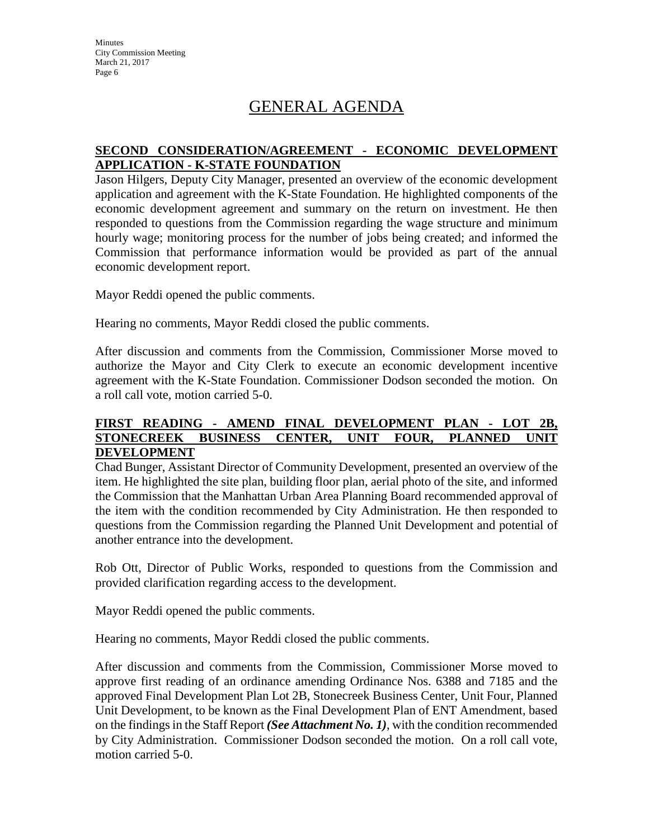# GENERAL AGENDA

## **SECOND CONSIDERATION/AGREEMENT - ECONOMIC DEVELOPMENT APPLICATION - K-STATE FOUNDATION**

Jason Hilgers, Deputy City Manager, presented an overview of the economic development application and agreement with the K-State Foundation. He highlighted components of the economic development agreement and summary on the return on investment. He then responded to questions from the Commission regarding the wage structure and minimum hourly wage; monitoring process for the number of jobs being created; and informed the Commission that performance information would be provided as part of the annual economic development report.

Mayor Reddi opened the public comments.

Hearing no comments, Mayor Reddi closed the public comments.

After discussion and comments from the Commission, Commissioner Morse moved to authorize the Mayor and City Clerk to execute an economic development incentive agreement with the K-State Foundation. Commissioner Dodson seconded the motion. On a roll call vote, motion carried 5-0.

#### **FIRST READING - AMEND FINAL DEVELOPMENT PLAN - LOT 2B, STONECREEK BUSINESS CENTER, UNIT FOUR, PLANNED UNIT DEVELOPMENT**

Chad Bunger, Assistant Director of Community Development, presented an overview of the item. He highlighted the site plan, building floor plan, aerial photo of the site, and informed the Commission that the Manhattan Urban Area Planning Board recommended approval of the item with the condition recommended by City Administration. He then responded to questions from the Commission regarding the Planned Unit Development and potential of another entrance into the development.

Rob Ott, Director of Public Works, responded to questions from the Commission and provided clarification regarding access to the development.

Mayor Reddi opened the public comments.

Hearing no comments, Mayor Reddi closed the public comments.

After discussion and comments from the Commission, Commissioner Morse moved to approve first reading of an ordinance amending Ordinance Nos. 6388 and 7185 and the approved Final Development Plan Lot 2B, Stonecreek Business Center, Unit Four, Planned Unit Development, to be known as the Final Development Plan of ENT Amendment, based on the findings in the Staff Report *(See Attachment No. 1)*, with the condition recommended by City Administration. Commissioner Dodson seconded the motion. On a roll call vote, motion carried 5-0.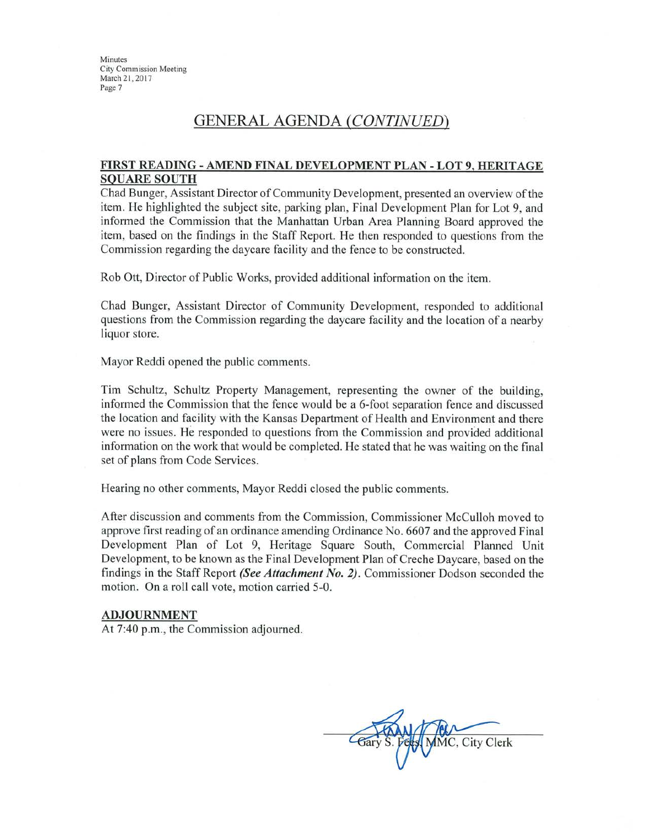## **GENERAL AGENDA (CONTINUED)**

#### FIRST READING - AMEND FINAL DEVELOPMENT PLAN - LOT 9, HERITAGE **SQUARE SOUTH**

Chad Bunger, Assistant Director of Community Development, presented an overview of the item. He highlighted the subject site, parking plan, Final Development Plan for Lot 9, and informed the Commission that the Manhattan Urban Area Planning Board approved the item, based on the findings in the Staff Report. He then responded to questions from the Commission regarding the daycare facility and the fence to be constructed.

Rob Ott, Director of Public Works, provided additional information on the item.

Chad Bunger, Assistant Director of Community Development, responded to additional questions from the Commission regarding the daycare facility and the location of a nearby liquor store.

Mayor Reddi opened the public comments.

Tim Schultz, Schultz Property Management, representing the owner of the building, informed the Commission that the fence would be a 6-foot separation fence and discussed the location and facility with the Kansas Department of Health and Environment and there were no issues. He responded to questions from the Commission and provided additional information on the work that would be completed. He stated that he was waiting on the final set of plans from Code Services.

Hearing no other comments, Mayor Reddi closed the public comments.

After discussion and comments from the Commission, Commissioner McCulloh moved to approve first reading of an ordinance amending Ordinance No. 6607 and the approved Final Development Plan of Lot 9, Heritage Square South, Commercial Planned Unit Development, to be known as the Final Development Plan of Creche Daycare, based on the findings in the Staff Report (See Attachment No. 2). Commissioner Dodson seconded the motion. On a roll call vote, motion carried 5-0.

#### **ADJOURNMENT**

At 7:40 p.m., the Commission adjourned.

MMC, City Clerk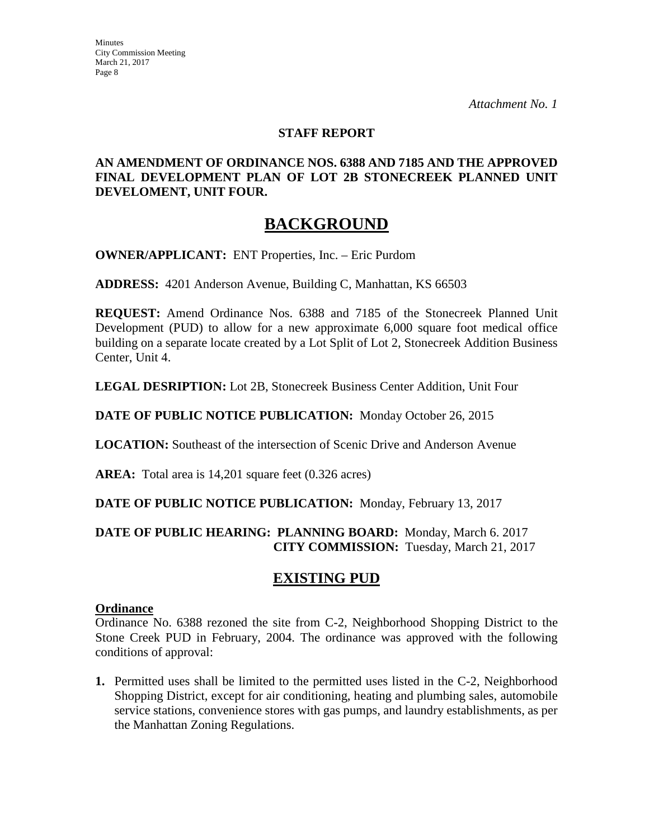### **STAFF REPORT**

## **AN AMENDMENT OF ORDINANCE NOS. 6388 AND 7185 AND THE APPROVED FINAL DEVELOPMENT PLAN OF LOT 2B STONECREEK PLANNED UNIT DEVELOMENT, UNIT FOUR.**

## **BACKGROUND**

**OWNER/APPLICANT:** ENT Properties, Inc. – Eric Purdom

**ADDRESS:** 4201 Anderson Avenue, Building C, Manhattan, KS 66503

**REQUEST:** Amend Ordinance Nos. 6388 and 7185 of the Stonecreek Planned Unit Development (PUD) to allow for a new approximate 6,000 square foot medical office building on a separate locate created by a Lot Split of Lot 2, Stonecreek Addition Business Center, Unit 4.

**LEGAL DESRIPTION:** Lot 2B, Stonecreek Business Center Addition, Unit Four

**DATE OF PUBLIC NOTICE PUBLICATION:** Monday October 26, 2015

**LOCATION:** Southeast of the intersection of Scenic Drive and Anderson Avenue

**AREA:** Total area is 14,201 square feet (0.326 acres)

**DATE OF PUBLIC NOTICE PUBLICATION:** Monday, February 13, 2017

## **DATE OF PUBLIC HEARING: PLANNING BOARD:** Monday, March 6. 2017 **CITY COMMISSION:** Tuesday, March 21, 2017

## **EXISTING PUD**

#### **Ordinance**

Ordinance No. 6388 rezoned the site from C-2, Neighborhood Shopping District to the Stone Creek PUD in February, 2004. The ordinance was approved with the following conditions of approval:

**1.** Permitted uses shall be limited to the permitted uses listed in the C-2, Neighborhood Shopping District, except for air conditioning, heating and plumbing sales, automobile service stations, convenience stores with gas pumps, and laundry establishments, as per the Manhattan Zoning Regulations.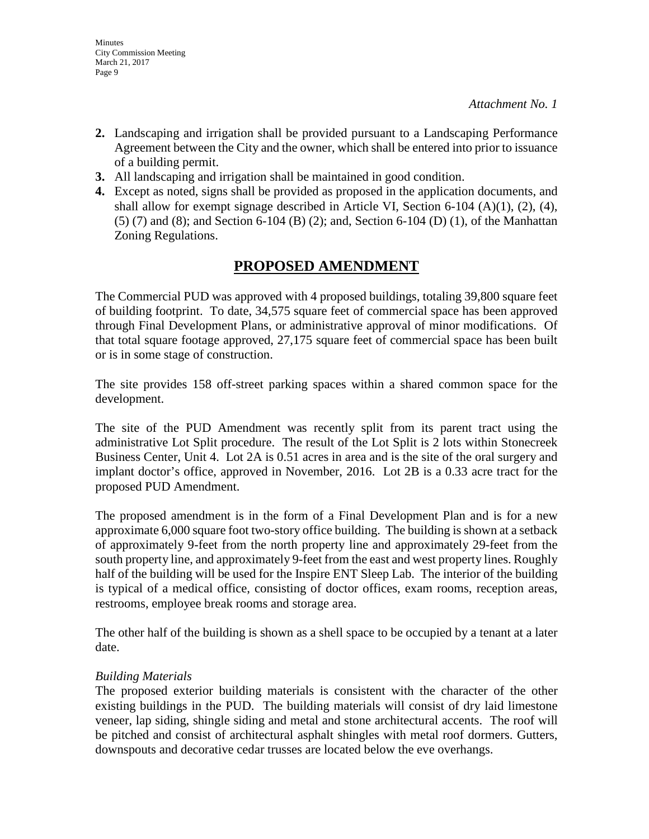- **2.** Landscaping and irrigation shall be provided pursuant to a Landscaping Performance Agreement between the City and the owner, which shall be entered into prior to issuance of a building permit.
- **3.** All landscaping and irrigation shall be maintained in good condition.
- **4.** Except as noted, signs shall be provided as proposed in the application documents, and shall allow for exempt signage described in Article VI, Section  $6-104$  (A)(1), (2), (4), (5) (7) and (8); and Section 6-104 (B) (2); and, Section 6-104 (D) (1), of the Manhattan Zoning Regulations.

## **PROPOSED AMENDMENT**

The Commercial PUD was approved with 4 proposed buildings, totaling 39,800 square feet of building footprint. To date, 34,575 square feet of commercial space has been approved through Final Development Plans, or administrative approval of minor modifications. Of that total square footage approved, 27,175 square feet of commercial space has been built or is in some stage of construction.

The site provides 158 off-street parking spaces within a shared common space for the development.

The site of the PUD Amendment was recently split from its parent tract using the administrative Lot Split procedure. The result of the Lot Split is 2 lots within Stonecreek Business Center, Unit 4. Lot 2A is 0.51 acres in area and is the site of the oral surgery and implant doctor's office, approved in November, 2016. Lot 2B is a 0.33 acre tract for the proposed PUD Amendment.

The proposed amendment is in the form of a Final Development Plan and is for a new approximate 6,000 square foot two-story office building. The building is shown at a setback of approximately 9-feet from the north property line and approximately 29-feet from the south property line, and approximately 9-feet from the east and west property lines. Roughly half of the building will be used for the Inspire ENT Sleep Lab. The interior of the building is typical of a medical office, consisting of doctor offices, exam rooms, reception areas, restrooms, employee break rooms and storage area.

The other half of the building is shown as a shell space to be occupied by a tenant at a later date.

## *Building Materials*

The proposed exterior building materials is consistent with the character of the other existing buildings in the PUD. The building materials will consist of dry laid limestone veneer, lap siding, shingle siding and metal and stone architectural accents. The roof will be pitched and consist of architectural asphalt shingles with metal roof dormers. Gutters, downspouts and decorative cedar trusses are located below the eve overhangs.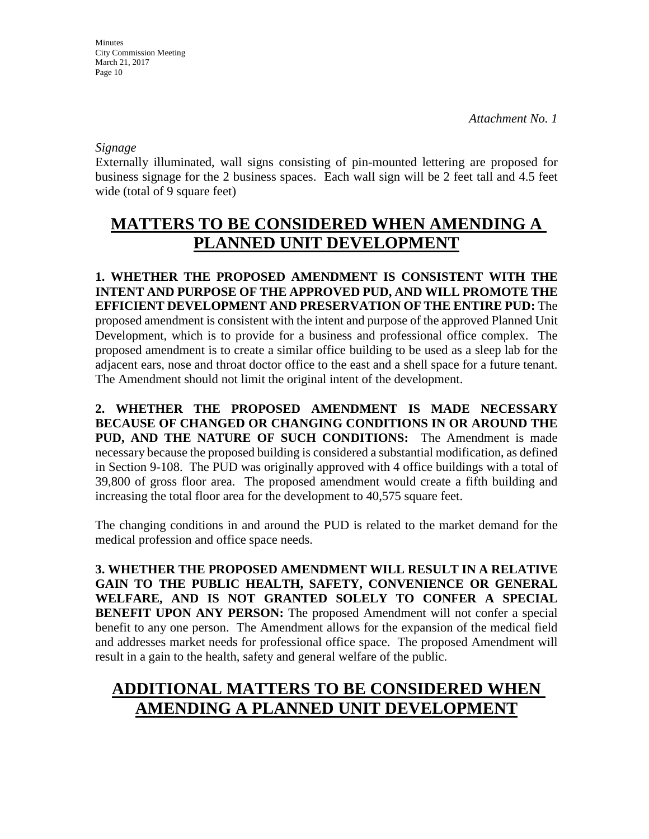*Signage* 

Externally illuminated, wall signs consisting of pin-mounted lettering are proposed for business signage for the 2 business spaces. Each wall sign will be 2 feet tall and 4.5 feet wide (total of 9 square feet)

# **MATTERS TO BE CONSIDERED WHEN AMENDING A PLANNED UNIT DEVELOPMENT**

**1. WHETHER THE PROPOSED AMENDMENT IS CONSISTENT WITH THE INTENT AND PURPOSE OF THE APPROVED PUD, AND WILL PROMOTE THE EFFICIENT DEVELOPMENT AND PRESERVATION OF THE ENTIRE PUD:** The proposed amendment is consistent with the intent and purpose of the approved Planned Unit Development, which is to provide for a business and professional office complex. The proposed amendment is to create a similar office building to be used as a sleep lab for the adjacent ears, nose and throat doctor office to the east and a shell space for a future tenant. The Amendment should not limit the original intent of the development.

**2. WHETHER THE PROPOSED AMENDMENT IS MADE NECESSARY BECAUSE OF CHANGED OR CHANGING CONDITIONS IN OR AROUND THE PUD, AND THE NATURE OF SUCH CONDITIONS:** The Amendment is made necessary because the proposed building is considered a substantial modification, as defined in Section 9-108. The PUD was originally approved with 4 office buildings with a total of 39,800 of gross floor area. The proposed amendment would create a fifth building and increasing the total floor area for the development to 40,575 square feet.

The changing conditions in and around the PUD is related to the market demand for the medical profession and office space needs.

**3. WHETHER THE PROPOSED AMENDMENT WILL RESULT IN A RELATIVE GAIN TO THE PUBLIC HEALTH, SAFETY, CONVENIENCE OR GENERAL WELFARE, AND IS NOT GRANTED SOLELY TO CONFER A SPECIAL BENEFIT UPON ANY PERSON:** The proposed Amendment will not confer a special benefit to any one person. The Amendment allows for the expansion of the medical field and addresses market needs for professional office space. The proposed Amendment will result in a gain to the health, safety and general welfare of the public.

# **ADDITIONAL MATTERS TO BE CONSIDERED WHEN AMENDING A PLANNED UNIT DEVELOPMENT**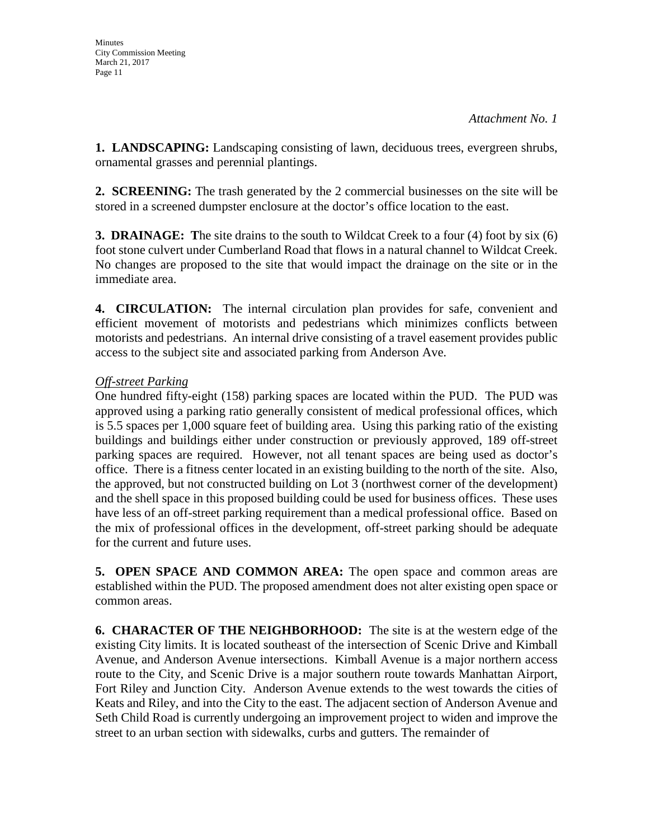**1. LANDSCAPING:** Landscaping consisting of lawn, deciduous trees, evergreen shrubs, ornamental grasses and perennial plantings.

**2. SCREENING:** The trash generated by the 2 commercial businesses on the site will be stored in a screened dumpster enclosure at the doctor's office location to the east.

**3. DRAINAGE: T**he site drains to the south to Wildcat Creek to a four (4) foot by six (6) foot stone culvert under Cumberland Road that flows in a natural channel to Wildcat Creek. No changes are proposed to the site that would impact the drainage on the site or in the immediate area.

**4. CIRCULATION:** The internal circulation plan provides for safe, convenient and efficient movement of motorists and pedestrians which minimizes conflicts between motorists and pedestrians. An internal drive consisting of a travel easement provides public access to the subject site and associated parking from Anderson Ave.

## *Off-street Parking*

One hundred fifty-eight (158) parking spaces are located within the PUD. The PUD was approved using a parking ratio generally consistent of medical professional offices, which is 5.5 spaces per 1,000 square feet of building area. Using this parking ratio of the existing buildings and buildings either under construction or previously approved, 189 off-street parking spaces are required. However, not all tenant spaces are being used as doctor's office. There is a fitness center located in an existing building to the north of the site. Also, the approved, but not constructed building on Lot 3 (northwest corner of the development) and the shell space in this proposed building could be used for business offices. These uses have less of an off-street parking requirement than a medical professional office. Based on the mix of professional offices in the development, off-street parking should be adequate for the current and future uses.

**5. OPEN SPACE AND COMMON AREA:** The open space and common areas are established within the PUD. The proposed amendment does not alter existing open space or common areas.

**6. CHARACTER OF THE NEIGHBORHOOD:** The site is at the western edge of the existing City limits. It is located southeast of the intersection of Scenic Drive and Kimball Avenue, and Anderson Avenue intersections. Kimball Avenue is a major northern access route to the City, and Scenic Drive is a major southern route towards Manhattan Airport, Fort Riley and Junction City. Anderson Avenue extends to the west towards the cities of Keats and Riley, and into the City to the east. The adjacent section of Anderson Avenue and Seth Child Road is currently undergoing an improvement project to widen and improve the street to an urban section with sidewalks, curbs and gutters. The remainder of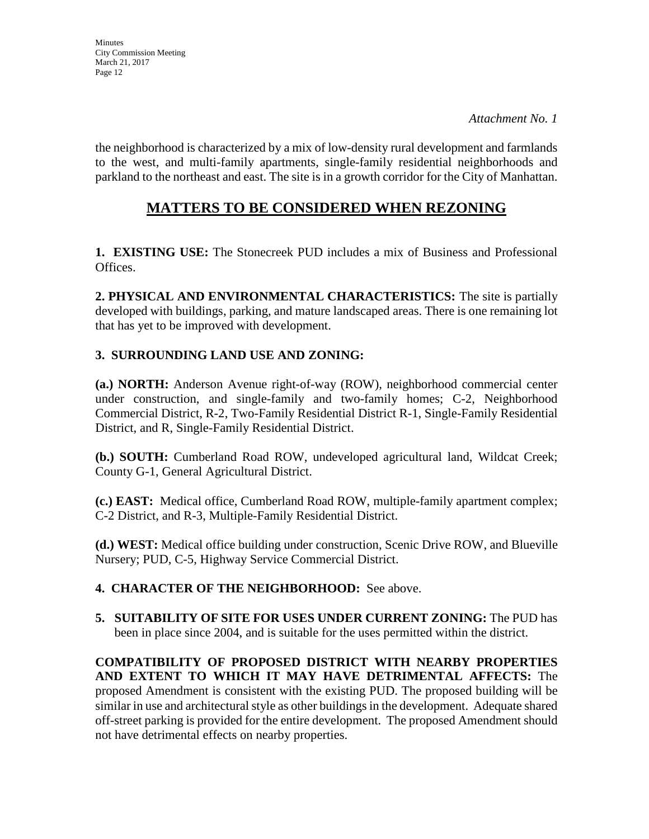the neighborhood is characterized by a mix of low-density rural development and farmlands to the west, and multi-family apartments, single-family residential neighborhoods and parkland to the northeast and east. The site is in a growth corridor for the City of Manhattan.

## **MATTERS TO BE CONSIDERED WHEN REZONING**

**1. EXISTING USE:** The Stonecreek PUD includes a mix of Business and Professional Offices.

**2. PHYSICAL AND ENVIRONMENTAL CHARACTERISTICS:** The site is partially developed with buildings, parking, and mature landscaped areas. There is one remaining lot that has yet to be improved with development.

## **3. SURROUNDING LAND USE AND ZONING:**

**(a.) NORTH:** Anderson Avenue right-of-way (ROW), neighborhood commercial center under construction, and single-family and two-family homes; C-2, Neighborhood Commercial District, R-2, Two-Family Residential District R-1, Single-Family Residential District, and R, Single-Family Residential District.

**(b.) SOUTH:** Cumberland Road ROW, undeveloped agricultural land, Wildcat Creek; County G-1, General Agricultural District.

**(c.) EAST:** Medical office, Cumberland Road ROW, multiple-family apartment complex; C-2 District, and R-3, Multiple-Family Residential District.

**(d.) WEST:** Medical office building under construction, Scenic Drive ROW, and Blueville Nursery; PUD, C-5, Highway Service Commercial District.

## **4. CHARACTER OF THE NEIGHBORHOOD:** See above.

**5. SUITABILITY OF SITE FOR USES UNDER CURRENT ZONING:** The PUD has been in place since 2004, and is suitable for the uses permitted within the district.

**COMPATIBILITY OF PROPOSED DISTRICT WITH NEARBY PROPERTIES AND EXTENT TO WHICH IT MAY HAVE DETRIMENTAL AFFECTS:** The proposed Amendment is consistent with the existing PUD. The proposed building will be similar in use and architectural style as other buildings in the development. Adequate shared off-street parking is provided for the entire development. The proposed Amendment should not have detrimental effects on nearby properties.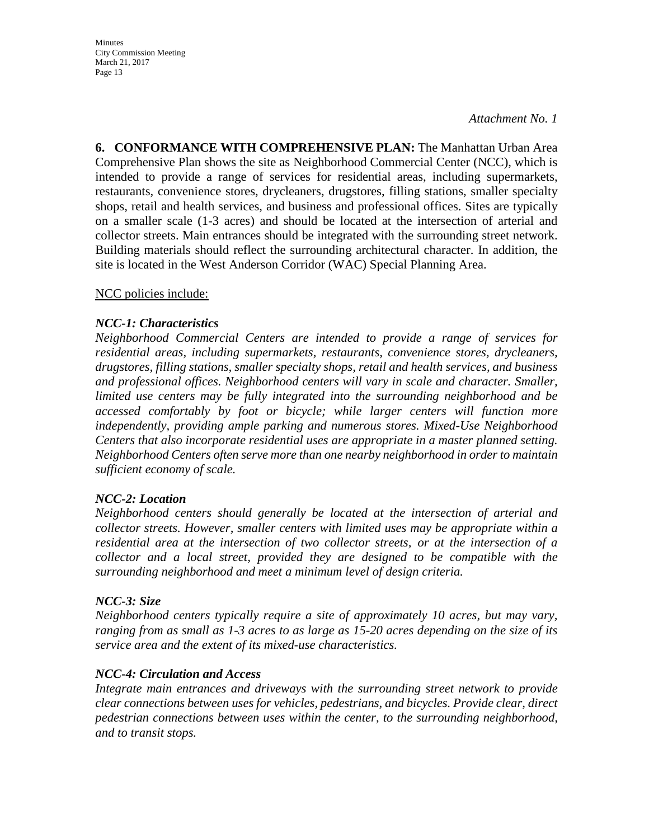*Attachment No. 1* 

**6. CONFORMANCE WITH COMPREHENSIVE PLAN:** The Manhattan Urban Area Comprehensive Plan shows the site as Neighborhood Commercial Center (NCC), which is intended to provide a range of services for residential areas, including supermarkets, restaurants, convenience stores, drycleaners, drugstores, filling stations, smaller specialty shops, retail and health services, and business and professional offices. Sites are typically on a smaller scale (1-3 acres) and should be located at the intersection of arterial and collector streets. Main entrances should be integrated with the surrounding street network. Building materials should reflect the surrounding architectural character. In addition, the site is located in the West Anderson Corridor (WAC) Special Planning Area.

NCC policies include:

### *NCC-1: Characteristics*

*Neighborhood Commercial Centers are intended to provide a range of services for residential areas, including supermarkets, restaurants, convenience stores, drycleaners, drugstores, filling stations, smaller specialty shops, retail and health services, and business and professional offices. Neighborhood centers will vary in scale and character. Smaller, limited use centers may be fully integrated into the surrounding neighborhood and be accessed comfortably by foot or bicycle; while larger centers will function more independently, providing ample parking and numerous stores. Mixed-Use Neighborhood Centers that also incorporate residential uses are appropriate in a master planned setting. Neighborhood Centers often serve more than one nearby neighborhood in order to maintain sufficient economy of scale.*

#### *NCC-2: Location*

*Neighborhood centers should generally be located at the intersection of arterial and collector streets. However, smaller centers with limited uses may be appropriate within a residential area at the intersection of two collector streets, or at the intersection of a collector and a local street, provided they are designed to be compatible with the surrounding neighborhood and meet a minimum level of design criteria.* 

#### *NCC-3: Size*

*Neighborhood centers typically require a site of approximately 10 acres, but may vary, ranging from as small as 1-3 acres to as large as 15-20 acres depending on the size of its service area and the extent of its mixed-use characteristics.*

#### *NCC-4: Circulation and Access*

Integrate main entrances and driveways with the surrounding street network to provide *clear connections between uses for vehicles, pedestrians, and bicycles. Provide clear, direct pedestrian connections between uses within the center, to the surrounding neighborhood, and to transit stops.*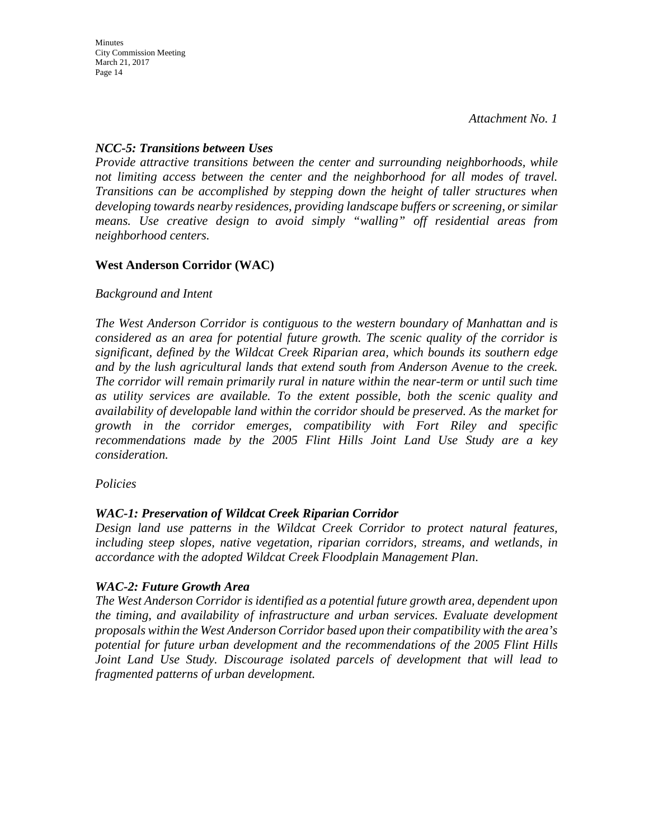Minutes

*Attachment No. 1* 

### *NCC-5: Transitions between Uses*

*Provide attractive transitions between the center and surrounding neighborhoods, while not limiting access between the center and the neighborhood for all modes of travel. Transitions can be accomplished by stepping down the height of taller structures when developing towards nearby residences, providing landscape buffers or screening, or similar means. Use creative design to avoid simply "walling" off residential areas from neighborhood centers.* 

### **West Anderson Corridor (WAC)**

#### *Background and Intent*

*The West Anderson Corridor is contiguous to the western boundary of Manhattan and is considered as an area for potential future growth. The scenic quality of the corridor is significant, defined by the Wildcat Creek Riparian area, which bounds its southern edge and by the lush agricultural lands that extend south from Anderson Avenue to the creek. The corridor will remain primarily rural in nature within the near-term or until such time as utility services are available. To the extent possible, both the scenic quality and availability of developable land within the corridor should be preserved. As the market for growth in the corridor emerges, compatibility with Fort Riley and specific recommendations made by the 2005 Flint Hills Joint Land Use Study are a key consideration.* 

#### *Policies*

## *WAC-1: Preservation of Wildcat Creek Riparian Corridor*

*Design land use patterns in the Wildcat Creek Corridor to protect natural features, including steep slopes, native vegetation, riparian corridors, streams, and wetlands, in accordance with the adopted Wildcat Creek Floodplain Management Plan.* 

#### *WAC-2: Future Growth Area*

*The West Anderson Corridor is identified as a potential future growth area, dependent upon the timing, and availability of infrastructure and urban services. Evaluate development proposals within the West Anderson Corridor based upon their compatibility with the area's potential for future urban development and the recommendations of the 2005 Flint Hills Joint Land Use Study. Discourage isolated parcels of development that will lead to fragmented patterns of urban development.*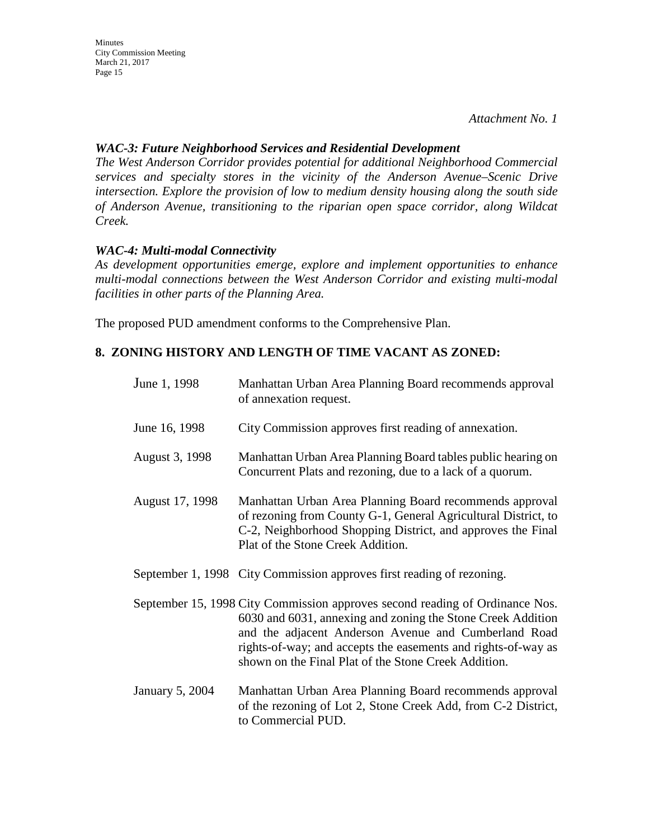*Attachment No. 1* 

#### *WAC-3: Future Neighborhood Services and Residential Development*

*The West Anderson Corridor provides potential for additional Neighborhood Commercial services and specialty stores in the vicinity of the Anderson Avenue–Scenic Drive intersection. Explore the provision of low to medium density housing along the south side of Anderson Avenue, transitioning to the riparian open space corridor, along Wildcat Creek.*

#### *WAC-4: Multi-modal Connectivity*

*As development opportunities emerge, explore and implement opportunities to enhance multi-modal connections between the West Anderson Corridor and existing multi-modal facilities in other parts of the Planning Area.* 

The proposed PUD amendment conforms to the Comprehensive Plan.

### **8. ZONING HISTORY AND LENGTH OF TIME VACANT AS ZONED:**

| June 1, 1998    | Manhattan Urban Area Planning Board recommends approval<br>of annexation request.                                                                                                                                                                                                                                            |
|-----------------|------------------------------------------------------------------------------------------------------------------------------------------------------------------------------------------------------------------------------------------------------------------------------------------------------------------------------|
| June 16, 1998   | City Commission approves first reading of annexation.                                                                                                                                                                                                                                                                        |
| August 3, 1998  | Manhattan Urban Area Planning Board tables public hearing on<br>Concurrent Plats and rezoning, due to a lack of a quorum.                                                                                                                                                                                                    |
| August 17, 1998 | Manhattan Urban Area Planning Board recommends approval<br>of rezoning from County G-1, General Agricultural District, to<br>C-2, Neighborhood Shopping District, and approves the Final<br>Plat of the Stone Creek Addition.                                                                                                |
|                 | September 1, 1998 City Commission approves first reading of rezoning.                                                                                                                                                                                                                                                        |
|                 | September 15, 1998 City Commission approves second reading of Ordinance Nos.<br>6030 and 6031, annexing and zoning the Stone Creek Addition<br>and the adjacent Anderson Avenue and Cumberland Road<br>rights-of-way; and accepts the easements and rights-of-way as<br>shown on the Final Plat of the Stone Creek Addition. |
| January 5, 2004 | Manhattan Urban Area Planning Board recommends approval<br>of the rezoning of Lot 2, Stone Creek Add, from C-2 District,<br>to Commercial PUD.                                                                                                                                                                               |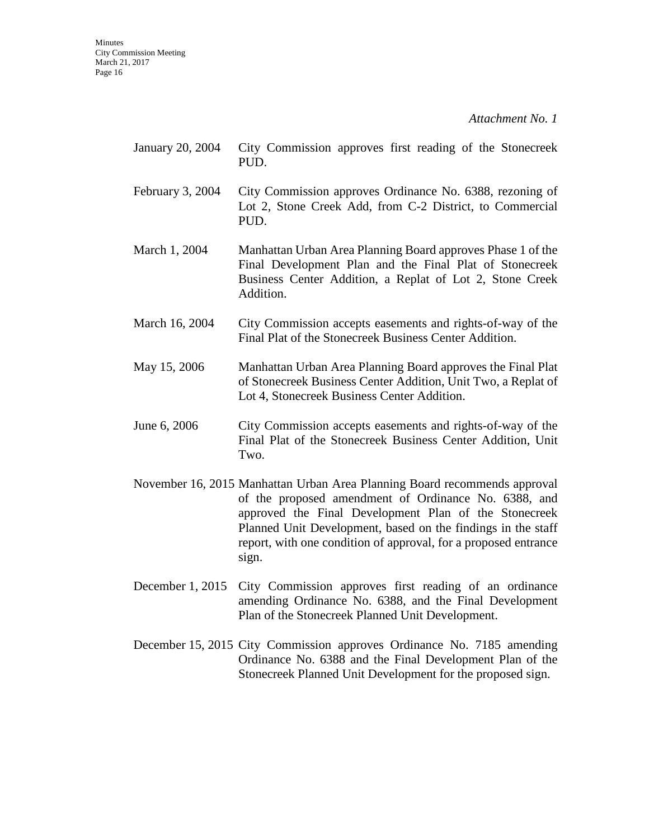- January 20, 2004 City Commission approves first reading of the Stonecreek PUD.
- February 3, 2004 City Commission approves Ordinance No. 6388, rezoning of Lot 2, Stone Creek Add, from C-2 District, to Commercial PUD.
- March 1, 2004 Manhattan Urban Area Planning Board approves Phase 1 of the Final Development Plan and the Final Plat of Stonecreek Business Center Addition, a Replat of Lot 2, Stone Creek Addition.
- March 16, 2004 City Commission accepts easements and rights-of-way of the Final Plat of the Stonecreek Business Center Addition.
- May 15, 2006 Manhattan Urban Area Planning Board approves the Final Plat of Stonecreek Business Center Addition, Unit Two, a Replat of Lot 4, Stonecreek Business Center Addition.
- June 6, 2006 City Commission accepts easements and rights-of-way of the Final Plat of the Stonecreek Business Center Addition, Unit Two.
- November 16, 2015 Manhattan Urban Area Planning Board recommends approval of the proposed amendment of Ordinance No. 6388, and approved the Final Development Plan of the Stonecreek Planned Unit Development, based on the findings in the staff report, with one condition of approval, for a proposed entrance sign.
- December 1, 2015 City Commission approves first reading of an ordinance amending Ordinance No. 6388, and the Final Development Plan of the Stonecreek Planned Unit Development.
- December 15, 2015 City Commission approves Ordinance No. 7185 amending Ordinance No. 6388 and the Final Development Plan of the Stonecreek Planned Unit Development for the proposed sign.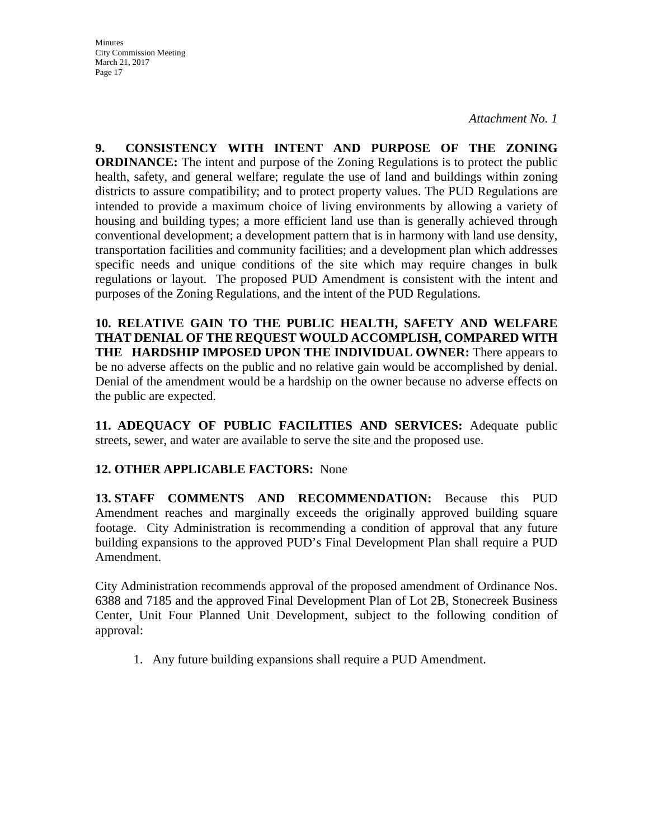*Attachment No. 1* 

**9. CONSISTENCY WITH INTENT AND PURPOSE OF THE ZONING ORDINANCE:** The intent and purpose of the Zoning Regulations is to protect the public health, safety, and general welfare; regulate the use of land and buildings within zoning districts to assure compatibility; and to protect property values. The PUD Regulations are intended to provide a maximum choice of living environments by allowing a variety of housing and building types; a more efficient land use than is generally achieved through conventional development; a development pattern that is in harmony with land use density, transportation facilities and community facilities; and a development plan which addresses specific needs and unique conditions of the site which may require changes in bulk regulations or layout. The proposed PUD Amendment is consistent with the intent and purposes of the Zoning Regulations, and the intent of the PUD Regulations.

**10. RELATIVE GAIN TO THE PUBLIC HEALTH, SAFETY AND WELFARE THAT DENIAL OF THE REQUEST WOULD ACCOMPLISH, COMPARED WITH THE HARDSHIP IMPOSED UPON THE INDIVIDUAL OWNER:** There appears to be no adverse affects on the public and no relative gain would be accomplished by denial. Denial of the amendment would be a hardship on the owner because no adverse effects on the public are expected.

**11. ADEQUACY OF PUBLIC FACILITIES AND SERVICES:** Adequate public streets, sewer, and water are available to serve the site and the proposed use.

## **12. OTHER APPLICABLE FACTORS:** None

**13. STAFF COMMENTS AND RECOMMENDATION:** Because this PUD Amendment reaches and marginally exceeds the originally approved building square footage. City Administration is recommending a condition of approval that any future building expansions to the approved PUD's Final Development Plan shall require a PUD Amendment.

City Administration recommends approval of the proposed amendment of Ordinance Nos. 6388 and 7185 and the approved Final Development Plan of Lot 2B, Stonecreek Business Center, Unit Four Planned Unit Development, subject to the following condition of approval:

1. Any future building expansions shall require a PUD Amendment.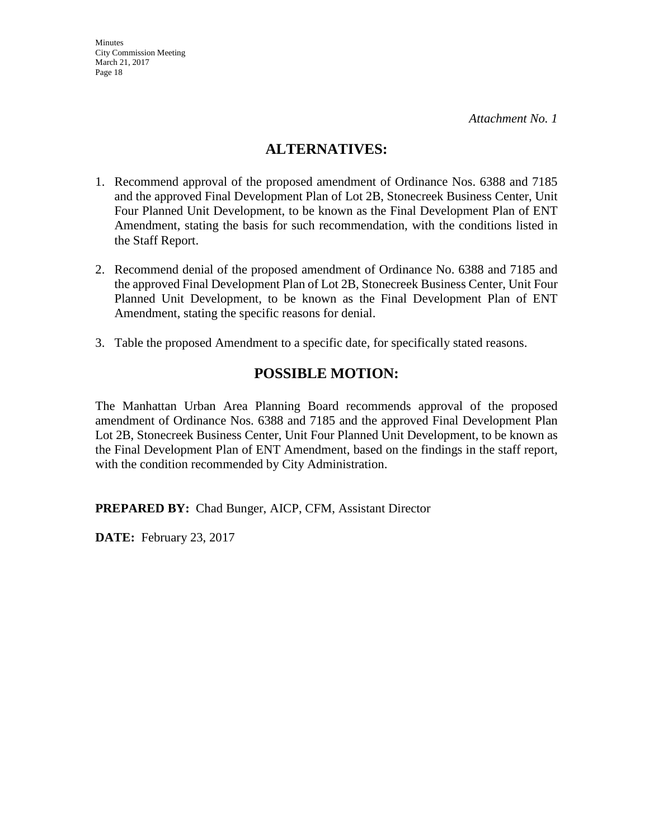## **ALTERNATIVES:**

- 1. Recommend approval of the proposed amendment of Ordinance Nos. 6388 and 7185 and the approved Final Development Plan of Lot 2B, Stonecreek Business Center, Unit Four Planned Unit Development, to be known as the Final Development Plan of ENT Amendment, stating the basis for such recommendation, with the conditions listed in the Staff Report.
- 2. Recommend denial of the proposed amendment of Ordinance No. 6388 and 7185 and the approved Final Development Plan of Lot 2B, Stonecreek Business Center, Unit Four Planned Unit Development, to be known as the Final Development Plan of ENT Amendment, stating the specific reasons for denial.
- 3. Table the proposed Amendment to a specific date, for specifically stated reasons.

## **POSSIBLE MOTION:**

The Manhattan Urban Area Planning Board recommends approval of the proposed amendment of Ordinance Nos. 6388 and 7185 and the approved Final Development Plan Lot 2B, Stonecreek Business Center, Unit Four Planned Unit Development, to be known as the Final Development Plan of ENT Amendment, based on the findings in the staff report, with the condition recommended by City Administration.

**PREPARED BY:** Chad Bunger, AICP, CFM, Assistant Director

**DATE:** February 23, 2017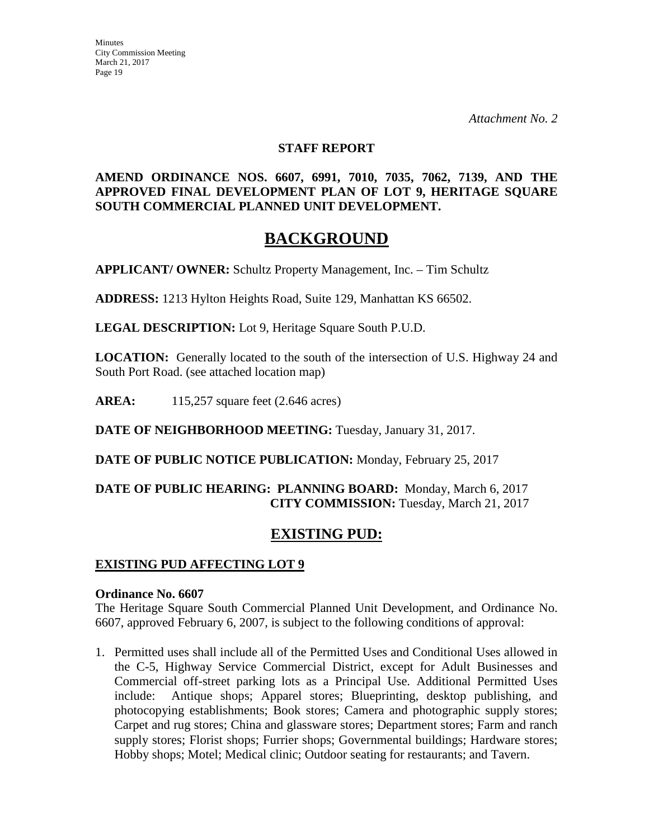*Attachment No. 2* 

#### **STAFF REPORT**

### **AMEND ORDINANCE NOS. 6607, 6991, 7010, 7035, 7062, 7139, AND THE APPROVED FINAL DEVELOPMENT PLAN OF LOT 9, HERITAGE SQUARE SOUTH COMMERCIAL PLANNED UNIT DEVELOPMENT.**

## **BACKGROUND**

**APPLICANT/ OWNER:** Schultz Property Management, Inc. – Tim Schultz

**ADDRESS:** 1213 Hylton Heights Road, Suite 129, Manhattan KS 66502.

**LEGAL DESCRIPTION:** Lot 9, Heritage Square South P.U.D.

**LOCATION:** Generally located to the south of the intersection of U.S. Highway 24 and South Port Road. (see attached location map)

**AREA:** 115,257 square feet (2.646 acres)

**DATE OF NEIGHBORHOOD MEETING:** Tuesday, January 31, 2017.

**DATE OF PUBLIC NOTICE PUBLICATION:** Monday, February 25, 2017

### **DATE OF PUBLIC HEARING: PLANNING BOARD:** Monday, March 6, 2017 **CITY COMMISSION:** Tuesday, March 21, 2017

## **EXISTING PUD:**

#### **EXISTING PUD AFFECTING LOT 9**

#### **Ordinance No. 6607**

The Heritage Square South Commercial Planned Unit Development, and Ordinance No. 6607, approved February 6, 2007, is subject to the following conditions of approval:

1. Permitted uses shall include all of the Permitted Uses and Conditional Uses allowed in the C-5, Highway Service Commercial District, except for Adult Businesses and Commercial off-street parking lots as a Principal Use. Additional Permitted Uses include: Antique shops; Apparel stores; Blueprinting, desktop publishing, and photocopying establishments; Book stores; Camera and photographic supply stores; Carpet and rug stores; China and glassware stores; Department stores; Farm and ranch supply stores; Florist shops; Furrier shops; Governmental buildings; Hardware stores; Hobby shops; Motel; Medical clinic; Outdoor seating for restaurants; and Tavern.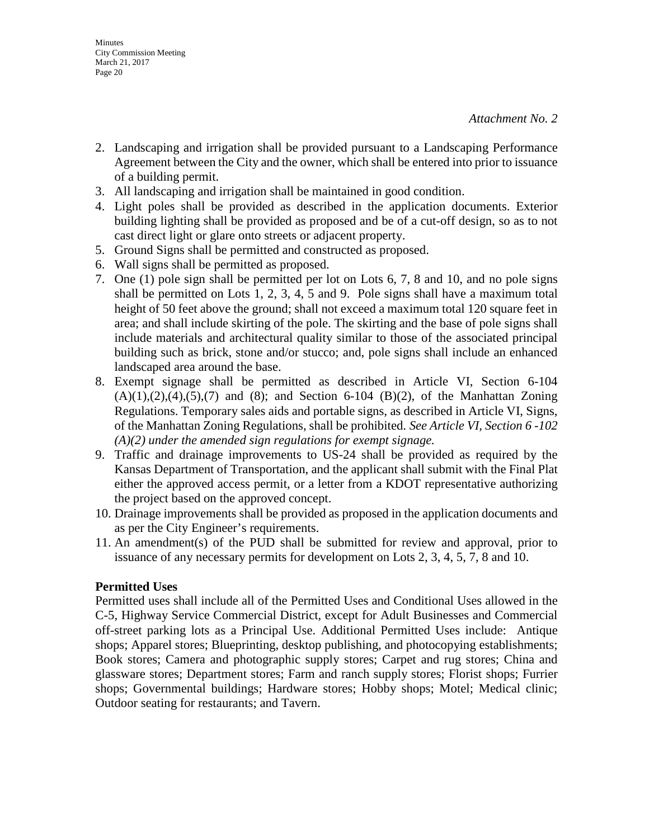- 2. Landscaping and irrigation shall be provided pursuant to a Landscaping Performance Agreement between the City and the owner, which shall be entered into prior to issuance of a building permit.
- 3. All landscaping and irrigation shall be maintained in good condition.
- 4. Light poles shall be provided as described in the application documents. Exterior building lighting shall be provided as proposed and be of a cut-off design, so as to not cast direct light or glare onto streets or adjacent property.
- 5. Ground Signs shall be permitted and constructed as proposed.
- 6. Wall signs shall be permitted as proposed.
- 7. One (1) pole sign shall be permitted per lot on Lots 6, 7, 8 and 10, and no pole signs shall be permitted on Lots 1, 2, 3, 4, 5 and 9. Pole signs shall have a maximum total height of 50 feet above the ground; shall not exceed a maximum total 120 square feet in area; and shall include skirting of the pole. The skirting and the base of pole signs shall include materials and architectural quality similar to those of the associated principal building such as brick, stone and/or stucco; and, pole signs shall include an enhanced landscaped area around the base.
- 8. Exempt signage shall be permitted as described in Article VI, Section 6-104  $(A)(1),(2),(4),(5),(7)$  and  $(8)$ ; and Section 6-104  $(B)(2)$ , of the Manhattan Zoning Regulations. Temporary sales aids and portable signs, as described in Article VI, Signs, of the Manhattan Zoning Regulations, shall be prohibited. *See Article VI, Section 6 -102 (A)(2) under the amended sign regulations for exempt signage.*
- 9. Traffic and drainage improvements to US-24 shall be provided as required by the Kansas Department of Transportation, and the applicant shall submit with the Final Plat either the approved access permit, or a letter from a KDOT representative authorizing the project based on the approved concept.
- 10. Drainage improvements shall be provided as proposed in the application documents and as per the City Engineer's requirements.
- 11. An amendment(s) of the PUD shall be submitted for review and approval, prior to issuance of any necessary permits for development on Lots 2, 3, 4, 5, 7, 8 and 10.

#### **Permitted Uses**

Permitted uses shall include all of the Permitted Uses and Conditional Uses allowed in the C-5, Highway Service Commercial District, except for Adult Businesses and Commercial off-street parking lots as a Principal Use. Additional Permitted Uses include: Antique shops; Apparel stores; Blueprinting, desktop publishing, and photocopying establishments; Book stores; Camera and photographic supply stores; Carpet and rug stores; China and glassware stores; Department stores; Farm and ranch supply stores; Florist shops; Furrier shops; Governmental buildings; Hardware stores; Hobby shops; Motel; Medical clinic; Outdoor seating for restaurants; and Tavern.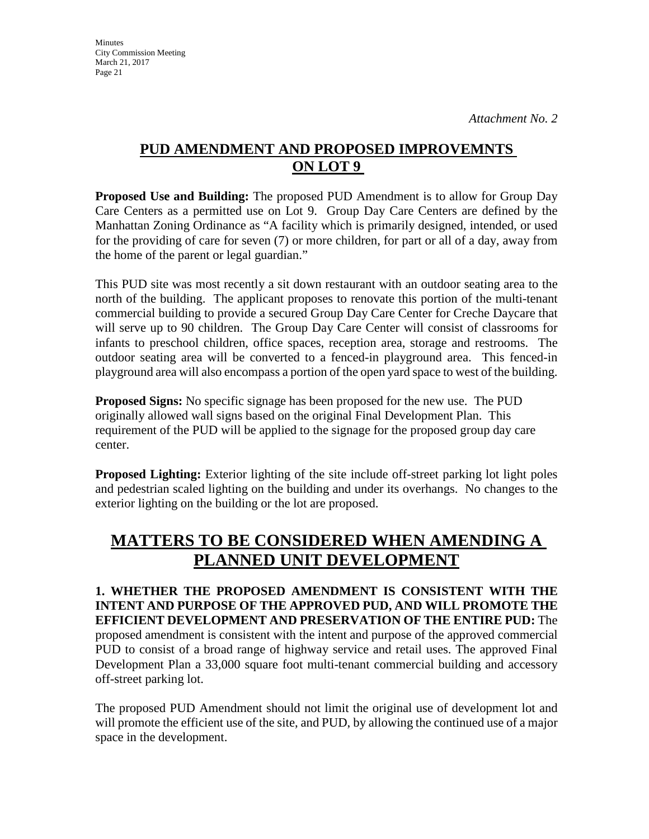## **PUD AMENDMENT AND PROPOSED IMPROVEMNTS ON LOT 9**

**Proposed Use and Building:** The proposed PUD Amendment is to allow for Group Day Care Centers as a permitted use on Lot 9. Group Day Care Centers are defined by the Manhattan Zoning Ordinance as "A facility which is primarily designed, intended, or used for the providing of care for seven (7) or more children, for part or all of a day, away from the home of the parent or legal guardian."

This PUD site was most recently a sit down restaurant with an outdoor seating area to the north of the building. The applicant proposes to renovate this portion of the multi-tenant commercial building to provide a secured Group Day Care Center for Creche Daycare that will serve up to 90 children. The Group Day Care Center will consist of classrooms for infants to preschool children, office spaces, reception area, storage and restrooms. The outdoor seating area will be converted to a fenced-in playground area. This fenced-in playground area will also encompass a portion of the open yard space to west of the building.

**Proposed Signs:** No specific signage has been proposed for the new use. The PUD originally allowed wall signs based on the original Final Development Plan. This requirement of the PUD will be applied to the signage for the proposed group day care center.

**Proposed Lighting:** Exterior lighting of the site include off-street parking lot light poles and pedestrian scaled lighting on the building and under its overhangs. No changes to the exterior lighting on the building or the lot are proposed.

# **MATTERS TO BE CONSIDERED WHEN AMENDING A PLANNED UNIT DEVELOPMENT**

**1. WHETHER THE PROPOSED AMENDMENT IS CONSISTENT WITH THE INTENT AND PURPOSE OF THE APPROVED PUD, AND WILL PROMOTE THE EFFICIENT DEVELOPMENT AND PRESERVATION OF THE ENTIRE PUD:** The proposed amendment is consistent with the intent and purpose of the approved commercial PUD to consist of a broad range of highway service and retail uses. The approved Final Development Plan a 33,000 square foot multi-tenant commercial building and accessory off-street parking lot.

The proposed PUD Amendment should not limit the original use of development lot and will promote the efficient use of the site, and PUD, by allowing the continued use of a major space in the development.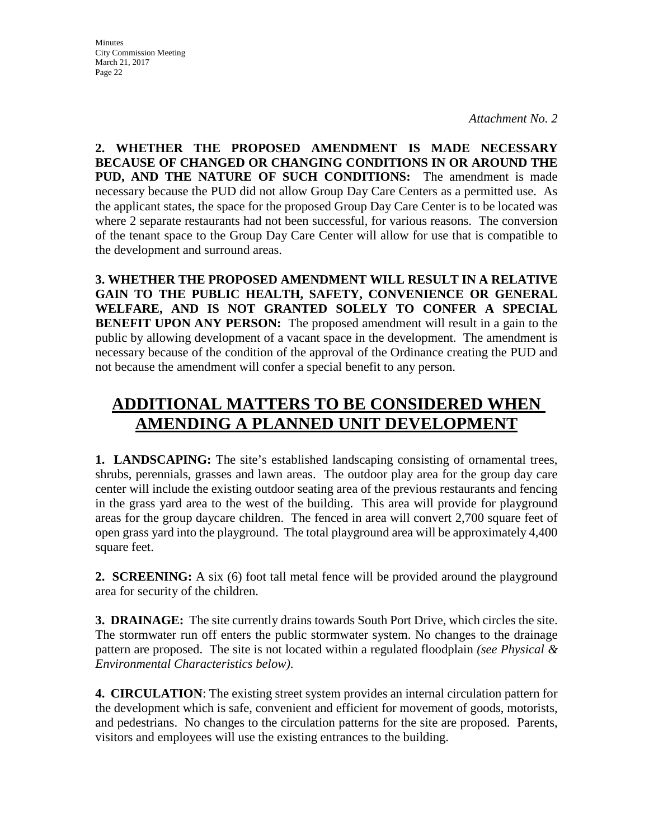*Attachment No. 2* 

**2. WHETHER THE PROPOSED AMENDMENT IS MADE NECESSARY BECAUSE OF CHANGED OR CHANGING CONDITIONS IN OR AROUND THE PUD, AND THE NATURE OF SUCH CONDITIONS:** The amendment is made necessary because the PUD did not allow Group Day Care Centers as a permitted use. As the applicant states, the space for the proposed Group Day Care Center is to be located was where 2 separate restaurants had not been successful, for various reasons. The conversion of the tenant space to the Group Day Care Center will allow for use that is compatible to the development and surround areas.

**3. WHETHER THE PROPOSED AMENDMENT WILL RESULT IN A RELATIVE GAIN TO THE PUBLIC HEALTH, SAFETY, CONVENIENCE OR GENERAL WELFARE, AND IS NOT GRANTED SOLELY TO CONFER A SPECIAL BENEFIT UPON ANY PERSON:** The proposed amendment will result in a gain to the public by allowing development of a vacant space in the development. The amendment is necessary because of the condition of the approval of the Ordinance creating the PUD and not because the amendment will confer a special benefit to any person.

# **ADDITIONAL MATTERS TO BE CONSIDERED WHEN AMENDING A PLANNED UNIT DEVELOPMENT**

**1. LANDSCAPING:** The site's established landscaping consisting of ornamental trees, shrubs, perennials, grasses and lawn areas. The outdoor play area for the group day care center will include the existing outdoor seating area of the previous restaurants and fencing in the grass yard area to the west of the building. This area will provide for playground areas for the group daycare children. The fenced in area will convert 2,700 square feet of open grass yard into the playground. The total playground area will be approximately 4,400 square feet.

**2. SCREENING:** A six (6) foot tall metal fence will be provided around the playground area for security of the children.

**3. DRAINAGE:** The site currently drains towards South Port Drive, which circles the site. The stormwater run off enters the public stormwater system. No changes to the drainage pattern are proposed. The site is not located within a regulated floodplain *(see Physical & Environmental Characteristics below)*.

**4. CIRCULATION**: The existing street system provides an internal circulation pattern for the development which is safe, convenient and efficient for movement of goods, motorists, and pedestrians. No changes to the circulation patterns for the site are proposed. Parents, visitors and employees will use the existing entrances to the building.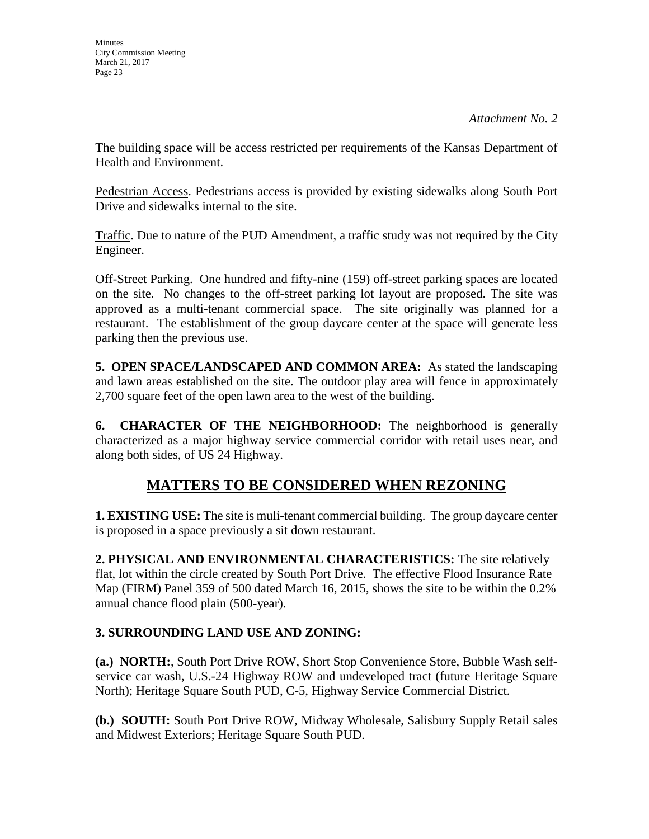The building space will be access restricted per requirements of the Kansas Department of Health and Environment.

Pedestrian Access. Pedestrians access is provided by existing sidewalks along South Port Drive and sidewalks internal to the site.

Traffic. Due to nature of the PUD Amendment, a traffic study was not required by the City Engineer.

Off-Street Parking. One hundred and fifty-nine (159) off-street parking spaces are located on the site. No changes to the off-street parking lot layout are proposed. The site was approved as a multi-tenant commercial space. The site originally was planned for a restaurant. The establishment of the group daycare center at the space will generate less parking then the previous use.

**5. OPEN SPACE/LANDSCAPED AND COMMON AREA:** As stated the landscaping and lawn areas established on the site. The outdoor play area will fence in approximately 2,700 square feet of the open lawn area to the west of the building.

**6. CHARACTER OF THE NEIGHBORHOOD:** The neighborhood is generally characterized as a major highway service commercial corridor with retail uses near, and along both sides, of US 24 Highway.

# **MATTERS TO BE CONSIDERED WHEN REZONING**

**1. EXISTING USE:** The site is muli-tenant commercial building. The group daycare center is proposed in a space previously a sit down restaurant.

**2. PHYSICAL AND ENVIRONMENTAL CHARACTERISTICS:** The site relatively flat, lot within the circle created by South Port Drive. The effective Flood Insurance Rate Map (FIRM) Panel 359 of 500 dated March 16, 2015, shows the site to be within the 0.2% annual chance flood plain (500-year).

## **3. SURROUNDING LAND USE AND ZONING:**

**(a.) NORTH:**, South Port Drive ROW, Short Stop Convenience Store, Bubble Wash selfservice car wash, U.S.-24 Highway ROW and undeveloped tract (future Heritage Square North); Heritage Square South PUD, C-5, Highway Service Commercial District.

**(b.) SOUTH:** South Port Drive ROW, Midway Wholesale, Salisbury Supply Retail sales and Midwest Exteriors; Heritage Square South PUD.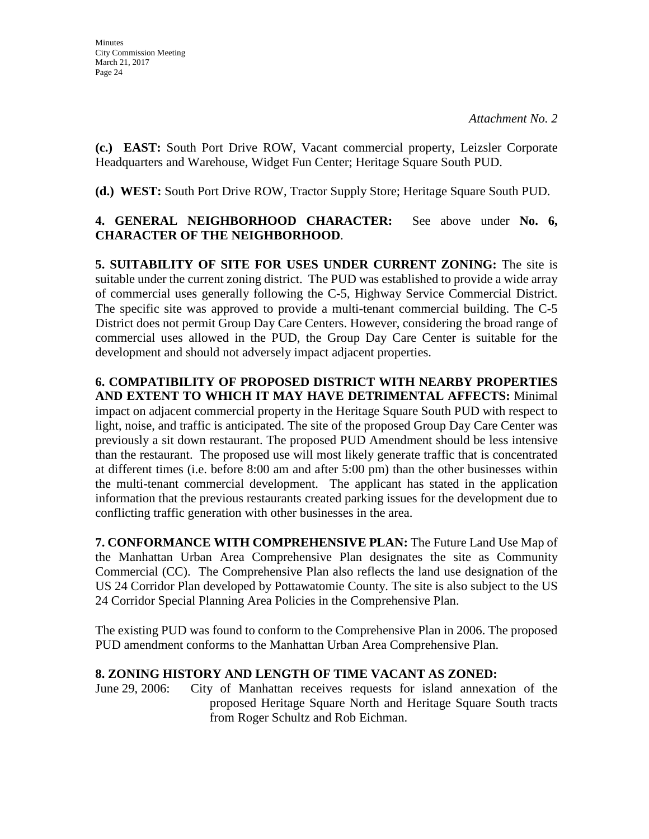**(c.) EAST:** South Port Drive ROW, Vacant commercial property, Leizsler Corporate Headquarters and Warehouse, Widget Fun Center; Heritage Square South PUD.

**(d.) WEST:** South Port Drive ROW, Tractor Supply Store; Heritage Square South PUD.

## **4. GENERAL NEIGHBORHOOD CHARACTER:** See above under **No. 6, CHARACTER OF THE NEIGHBORHOOD**.

**5. SUITABILITY OF SITE FOR USES UNDER CURRENT ZONING:** The site is suitable under the current zoning district. The PUD was established to provide a wide array of commercial uses generally following the C-5, Highway Service Commercial District. The specific site was approved to provide a multi-tenant commercial building. The C-5 District does not permit Group Day Care Centers. However, considering the broad range of commercial uses allowed in the PUD, the Group Day Care Center is suitable for the development and should not adversely impact adjacent properties.

**6. COMPATIBILITY OF PROPOSED DISTRICT WITH NEARBY PROPERTIES AND EXTENT TO WHICH IT MAY HAVE DETRIMENTAL AFFECTS:** Minimal impact on adjacent commercial property in the Heritage Square South PUD with respect to light, noise, and traffic is anticipated. The site of the proposed Group Day Care Center was previously a sit down restaurant. The proposed PUD Amendment should be less intensive than the restaurant. The proposed use will most likely generate traffic that is concentrated at different times (i.e. before 8:00 am and after 5:00 pm) than the other businesses within the multi-tenant commercial development. The applicant has stated in the application information that the previous restaurants created parking issues for the development due to conflicting traffic generation with other businesses in the area.

**7. CONFORMANCE WITH COMPREHENSIVE PLAN:** The Future Land Use Map of the Manhattan Urban Area Comprehensive Plan designates the site as Community Commercial (CC). The Comprehensive Plan also reflects the land use designation of the US 24 Corridor Plan developed by Pottawatomie County. The site is also subject to the US 24 Corridor Special Planning Area Policies in the Comprehensive Plan.

The existing PUD was found to conform to the Comprehensive Plan in 2006. The proposed PUD amendment conforms to the Manhattan Urban Area Comprehensive Plan.

## **8. ZONING HISTORY AND LENGTH OF TIME VACANT AS ZONED:**

June 29, 2006: City of Manhattan receives requests for island annexation of the proposed Heritage Square North and Heritage Square South tracts from Roger Schultz and Rob Eichman.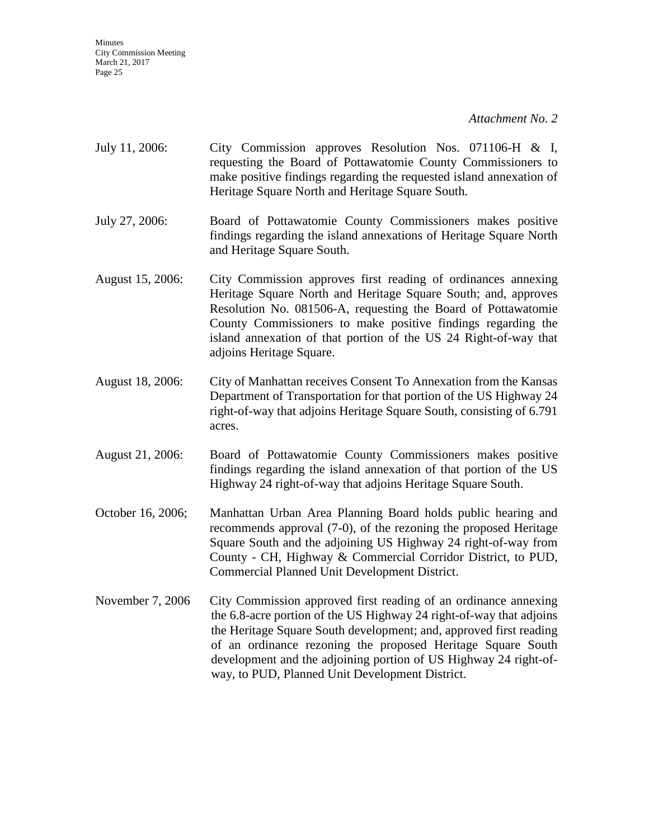| July 11, 2006:    | City Commission approves Resolution Nos. 071106-H & I,<br>requesting the Board of Pottawatomie County Commissioners to<br>make positive findings regarding the requested island annexation of<br>Heritage Square North and Heritage Square South.                                                                                                                                                  |
|-------------------|----------------------------------------------------------------------------------------------------------------------------------------------------------------------------------------------------------------------------------------------------------------------------------------------------------------------------------------------------------------------------------------------------|
| July 27, 2006:    | Board of Pottawatomie County Commissioners makes positive<br>findings regarding the island annexations of Heritage Square North<br>and Heritage Square South.                                                                                                                                                                                                                                      |
| August 15, 2006:  | City Commission approves first reading of ordinances annexing<br>Heritage Square North and Heritage Square South; and, approves<br>Resolution No. 081506-A, requesting the Board of Pottawatomie<br>County Commissioners to make positive findings regarding the<br>island annexation of that portion of the US 24 Right-of-way that<br>adjoins Heritage Square.                                   |
| August 18, 2006:  | City of Manhattan receives Consent To Annexation from the Kansas<br>Department of Transportation for that portion of the US Highway 24<br>right-of-way that adjoins Heritage Square South, consisting of 6.791<br>acres.                                                                                                                                                                           |
| August 21, 2006:  | Board of Pottawatomie County Commissioners makes positive<br>findings regarding the island annexation of that portion of the US<br>Highway 24 right-of-way that adjoins Heritage Square South.                                                                                                                                                                                                     |
| October 16, 2006; | Manhattan Urban Area Planning Board holds public hearing and<br>recommends approval (7-0), of the rezoning the proposed Heritage<br>Square South and the adjoining US Highway 24 right-of-way from<br>County - CH, Highway & Commercial Corridor District, to PUD,<br>Commercial Planned Unit Development District.                                                                                |
| November 7, 2006  | City Commission approved first reading of an ordinance annexing<br>the 6.8-acre portion of the US Highway 24 right-of-way that adjoins<br>the Heritage Square South development; and, approved first reading<br>of an ordinance rezoning the proposed Heritage Square South<br>development and the adjoining portion of US Highway 24 right-of-<br>way, to PUD, Planned Unit Development District. |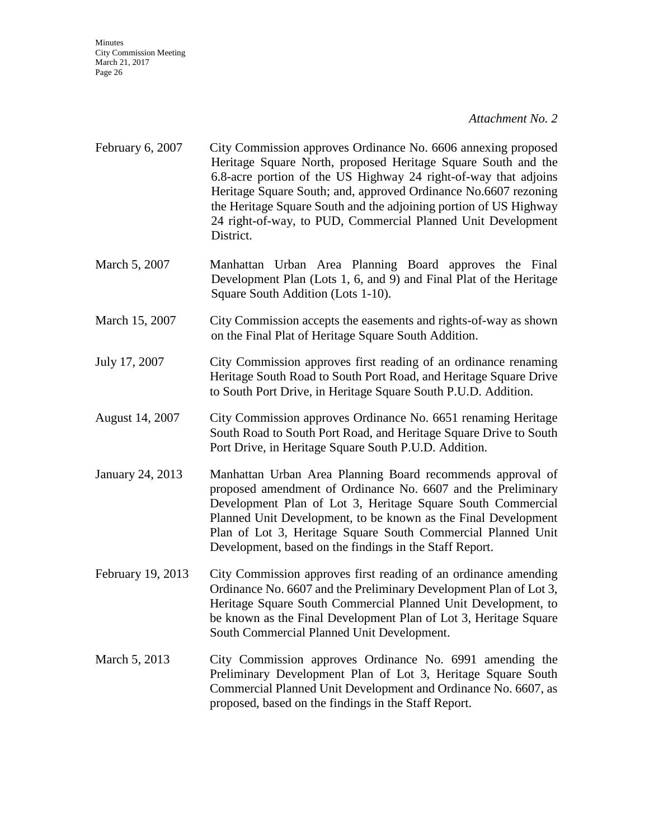- February 6, 2007 City Commission approves Ordinance No. 6606 annexing proposed Heritage Square North, proposed Heritage Square South and the 6.8-acre portion of the US Highway 24 right-of-way that adjoins Heritage Square South; and, approved Ordinance No.6607 rezoning the Heritage Square South and the adjoining portion of US Highway 24 right-of-way, to PUD, Commercial Planned Unit Development District.
- March 5, 2007 Manhattan Urban Area Planning Board approves the Final Development Plan (Lots 1, 6, and 9) and Final Plat of the Heritage Square South Addition (Lots 1-10).
- March 15, 2007 City Commission accepts the easements and rights-of-way as shown on the Final Plat of Heritage Square South Addition.
- July 17, 2007 City Commission approves first reading of an ordinance renaming Heritage South Road to South Port Road, and Heritage Square Drive to South Port Drive, in Heritage Square South P.U.D. Addition.
- August 14, 2007 City Commission approves Ordinance No. 6651 renaming Heritage South Road to South Port Road, and Heritage Square Drive to South Port Drive, in Heritage Square South P.U.D. Addition.
- January 24, 2013 Manhattan Urban Area Planning Board recommends approval of proposed amendment of Ordinance No. 6607 and the Preliminary Development Plan of Lot 3, Heritage Square South Commercial Planned Unit Development, to be known as the Final Development Plan of Lot 3, Heritage Square South Commercial Planned Unit Development, based on the findings in the Staff Report.
- February 19, 2013 City Commission approves first reading of an ordinance amending Ordinance No. 6607 and the Preliminary Development Plan of Lot 3, Heritage Square South Commercial Planned Unit Development, to be known as the Final Development Plan of Lot 3, Heritage Square South Commercial Planned Unit Development.
- March 5, 2013 City Commission approves Ordinance No. 6991 amending the Preliminary Development Plan of Lot 3, Heritage Square South Commercial Planned Unit Development and Ordinance No. 6607, as proposed, based on the findings in the Staff Report.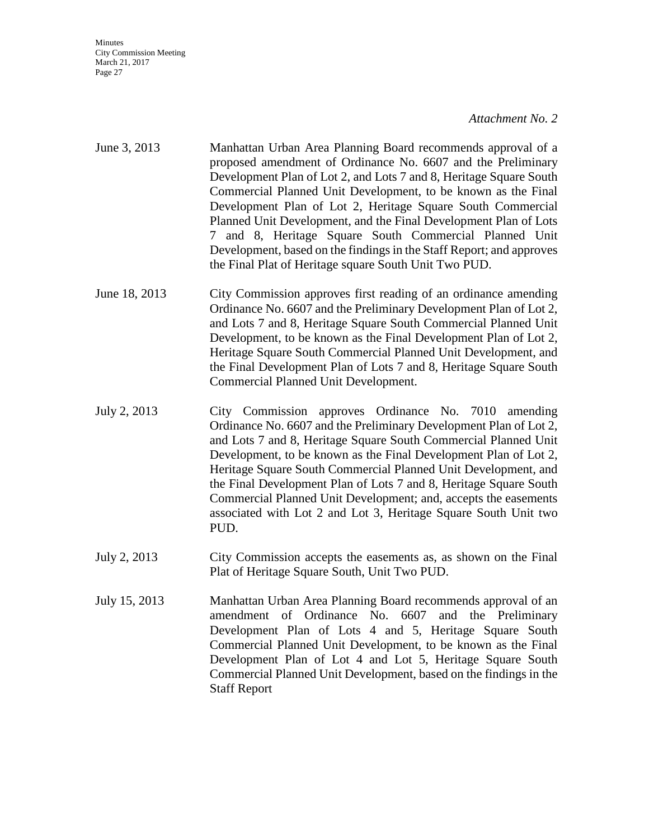- June 3, 2013 Manhattan Urban Area Planning Board recommends approval of a proposed amendment of Ordinance No. 6607 and the Preliminary Development Plan of Lot 2, and Lots 7 and 8, Heritage Square South Commercial Planned Unit Development, to be known as the Final Development Plan of Lot 2, Heritage Square South Commercial Planned Unit Development, and the Final Development Plan of Lots 7 and 8, Heritage Square South Commercial Planned Unit Development, based on the findings in the Staff Report; and approves the Final Plat of Heritage square South Unit Two PUD.
- June 18, 2013 City Commission approves first reading of an ordinance amending Ordinance No. 6607 and the Preliminary Development Plan of Lot 2, and Lots 7 and 8, Heritage Square South Commercial Planned Unit Development, to be known as the Final Development Plan of Lot 2, Heritage Square South Commercial Planned Unit Development, and the Final Development Plan of Lots 7 and 8, Heritage Square South Commercial Planned Unit Development.
- July 2, 2013 City Commission approves Ordinance No. 7010 amending Ordinance No. 6607 and the Preliminary Development Plan of Lot 2, and Lots 7 and 8, Heritage Square South Commercial Planned Unit Development, to be known as the Final Development Plan of Lot 2, Heritage Square South Commercial Planned Unit Development, and the Final Development Plan of Lots 7 and 8, Heritage Square South Commercial Planned Unit Development; and, accepts the easements associated with Lot 2 and Lot 3, Heritage Square South Unit two PUD.
- July 2, 2013 City Commission accepts the easements as, as shown on the Final Plat of Heritage Square South, Unit Two PUD.
- July 15, 2013 Manhattan Urban Area Planning Board recommends approval of an amendment of Ordinance No. 6607 and the Preliminary Development Plan of Lots 4 and 5, Heritage Square South Commercial Planned Unit Development, to be known as the Final Development Plan of Lot 4 and Lot 5, Heritage Square South Commercial Planned Unit Development, based on the findings in the Staff Report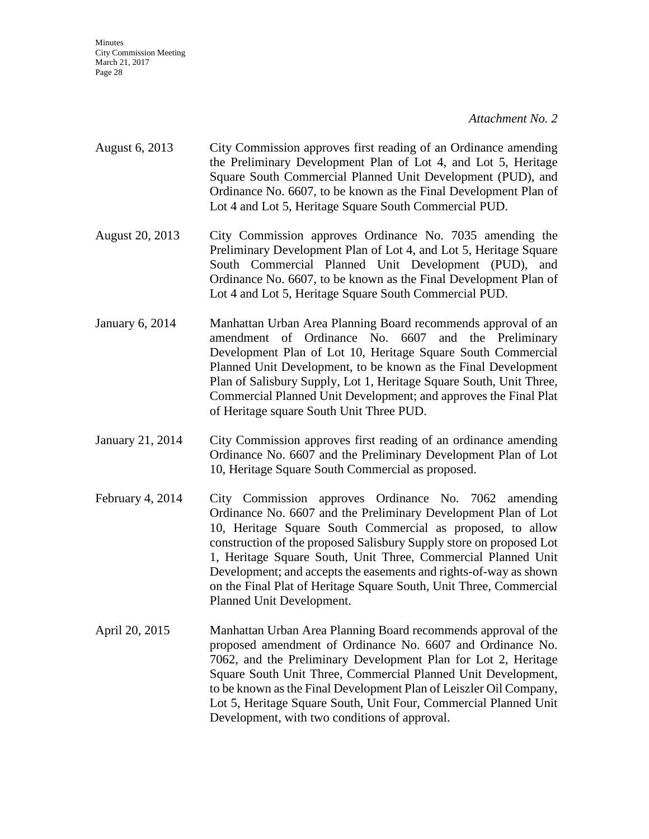| August 6, 2013 | City Commission approves first reading of an Ordinance amending  |
|----------------|------------------------------------------------------------------|
|                | the Preliminary Development Plan of Lot 4, and Lot 5, Heritage   |
|                | Square South Commercial Planned Unit Development (PUD), and      |
|                | Ordinance No. 6607, to be known as the Final Development Plan of |
|                | Lot 4 and Lot 5, Heritage Square South Commercial PUD.           |

- August 20, 2013 City Commission approves Ordinance No. 7035 amending the Preliminary Development Plan of Lot 4, and Lot 5, Heritage Square South Commercial Planned Unit Development (PUD), and Ordinance No. 6607, to be known as the Final Development Plan of Lot 4 and Lot 5, Heritage Square South Commercial PUD.
- January 6, 2014 Manhattan Urban Area Planning Board recommends approval of an amendment of Ordinance No. 6607 and the Preliminary Development Plan of Lot 10, Heritage Square South Commercial Planned Unit Development, to be known as the Final Development Plan of Salisbury Supply, Lot 1, Heritage Square South, Unit Three, Commercial Planned Unit Development; and approves the Final Plat of Heritage square South Unit Three PUD.
- January 21, 2014 City Commission approves first reading of an ordinance amending Ordinance No. 6607 and the Preliminary Development Plan of Lot 10, Heritage Square South Commercial as proposed.
- February 4, 2014 City Commission approves Ordinance No. 7062 amending Ordinance No. 6607 and the Preliminary Development Plan of Lot 10, Heritage Square South Commercial as proposed, to allow construction of the proposed Salisbury Supply store on proposed Lot 1, Heritage Square South, Unit Three, Commercial Planned Unit Development; and accepts the easements and rights-of-way as shown on the Final Plat of Heritage Square South, Unit Three, Commercial Planned Unit Development.
- April 20, 2015 Manhattan Urban Area Planning Board recommends approval of the proposed amendment of Ordinance No. 6607 and Ordinance No. 7062, and the Preliminary Development Plan for Lot 2, Heritage Square South Unit Three, Commercial Planned Unit Development, to be known as the Final Development Plan of Leiszler Oil Company, Lot 5, Heritage Square South, Unit Four, Commercial Planned Unit Development, with two conditions of approval.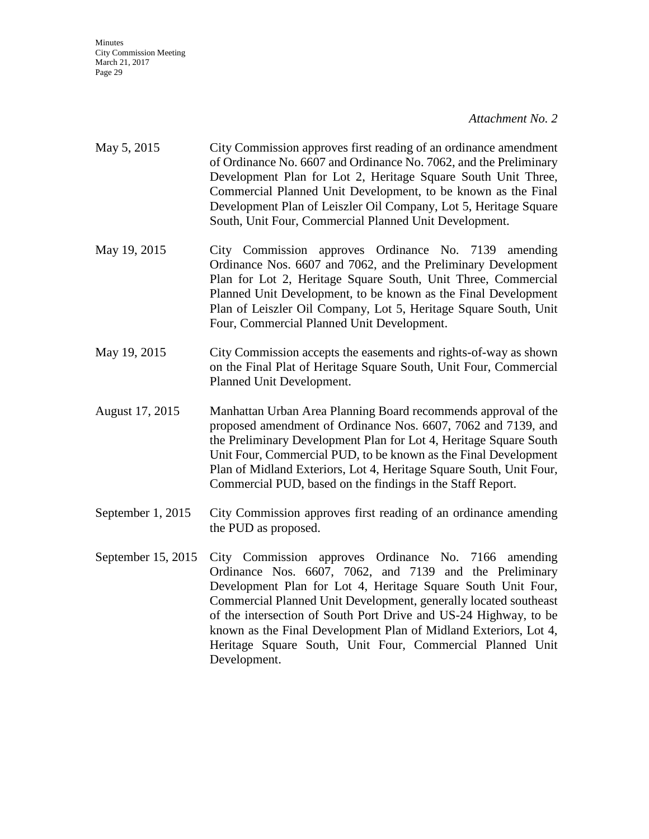## *Attachment No. 2*

| May 5, 2015        | City Commission approves first reading of an ordinance amendment<br>of Ordinance No. 6607 and Ordinance No. 7062, and the Preliminary<br>Development Plan for Lot 2, Heritage Square South Unit Three,<br>Commercial Planned Unit Development, to be known as the Final<br>Development Plan of Leiszler Oil Company, Lot 5, Heritage Square<br>South, Unit Four, Commercial Planned Unit Development.        |
|--------------------|--------------------------------------------------------------------------------------------------------------------------------------------------------------------------------------------------------------------------------------------------------------------------------------------------------------------------------------------------------------------------------------------------------------|
| May 19, 2015       | City Commission approves Ordinance No. 7139 amending<br>Ordinance Nos. 6607 and 7062, and the Preliminary Development<br>Plan for Lot 2, Heritage Square South, Unit Three, Commercial<br>Planned Unit Development, to be known as the Final Development<br>Plan of Leiszler Oil Company, Lot 5, Heritage Square South, Unit<br>Four, Commercial Planned Unit Development.                                   |
| May 19, 2015       | City Commission accepts the easements and rights-of-way as shown<br>on the Final Plat of Heritage Square South, Unit Four, Commercial<br>Planned Unit Development.                                                                                                                                                                                                                                           |
| August 17, 2015    | Manhattan Urban Area Planning Board recommends approval of the<br>proposed amendment of Ordinance Nos. 6607, 7062 and 7139, and<br>the Preliminary Development Plan for Lot 4, Heritage Square South<br>Unit Four, Commercial PUD, to be known as the Final Development<br>Plan of Midland Exteriors, Lot 4, Heritage Square South, Unit Four,<br>Commercial PUD, based on the findings in the Staff Report. |
| September 1, 2015  | City Commission approves first reading of an ordinance amending<br>the PUD as proposed.                                                                                                                                                                                                                                                                                                                      |
| September 15, 2015 | City Commission approves Ordinance No. 7166 amending<br>Ordinance Nos. 6607, 7062, and 7139 and the Preliminary<br>Development Plan for Lot 4, Heritage Square South Unit Four,<br>Commercial Planned Unit Development, generally located southeast<br>of the intersection of South Port Drive and US-24 Highway, to be<br>known as the Final Development Plan of Midland Exteriors, Lot 4,                  |

Development.

Heritage Square South, Unit Four, Commercial Planned Unit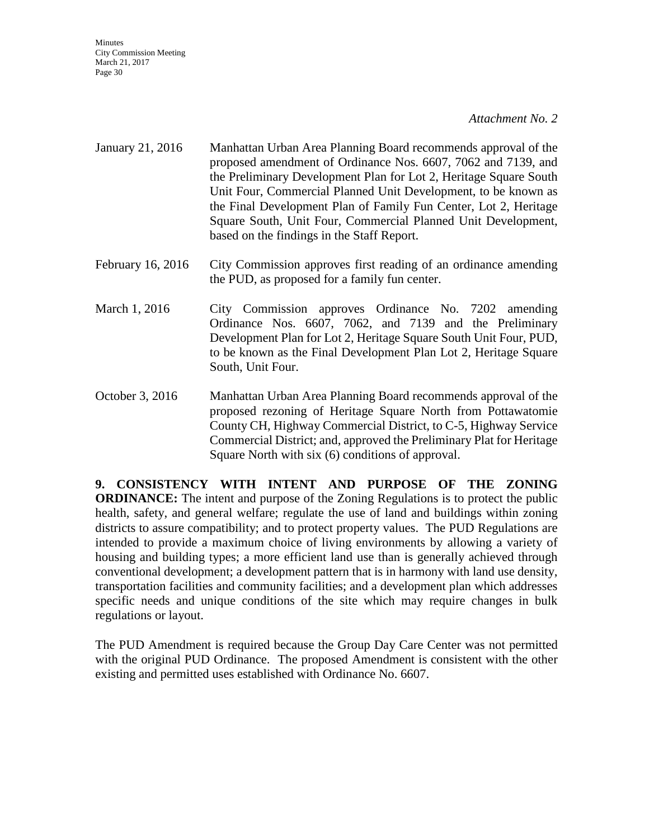#### *Attachment No. 2*

- January 21, 2016 Manhattan Urban Area Planning Board recommends approval of the proposed amendment of Ordinance Nos. 6607, 7062 and 7139, and the Preliminary Development Plan for Lot 2, Heritage Square South Unit Four, Commercial Planned Unit Development, to be known as the Final Development Plan of Family Fun Center, Lot 2, Heritage Square South, Unit Four, Commercial Planned Unit Development, based on the findings in the Staff Report.
- February 16, 2016 City Commission approves first reading of an ordinance amending the PUD, as proposed for a family fun center.
- March 1, 2016 City Commission approves Ordinance No. 7202 amending Ordinance Nos. 6607, 7062, and 7139 and the Preliminary Development Plan for Lot 2, Heritage Square South Unit Four, PUD, to be known as the Final Development Plan Lot 2, Heritage Square South, Unit Four.
- October 3, 2016 Manhattan Urban Area Planning Board recommends approval of the proposed rezoning of Heritage Square North from Pottawatomie County CH, Highway Commercial District, to C-5, Highway Service Commercial District; and, approved the Preliminary Plat for Heritage Square North with six (6) conditions of approval.

**9. CONSISTENCY WITH INTENT AND PURPOSE OF THE ZONING ORDINANCE:** The intent and purpose of the Zoning Regulations is to protect the public health, safety, and general welfare; regulate the use of land and buildings within zoning districts to assure compatibility; and to protect property values. The PUD Regulations are intended to provide a maximum choice of living environments by allowing a variety of housing and building types; a more efficient land use than is generally achieved through conventional development; a development pattern that is in harmony with land use density, transportation facilities and community facilities; and a development plan which addresses specific needs and unique conditions of the site which may require changes in bulk regulations or layout.

The PUD Amendment is required because the Group Day Care Center was not permitted with the original PUD Ordinance. The proposed Amendment is consistent with the other existing and permitted uses established with Ordinance No. 6607.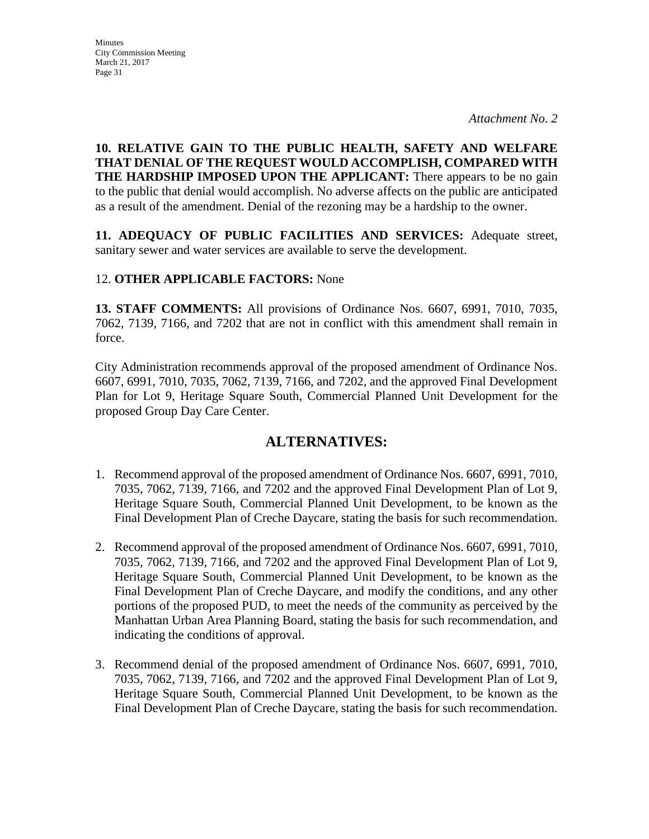## **10. RELATIVE GAIN TO THE PUBLIC HEALTH, SAFETY AND WELFARE THAT DENIAL OF THE REQUEST WOULD ACCOMPLISH, COMPARED WITH THE HARDSHIP IMPOSED UPON THE APPLICANT:** There appears to be no gain to the public that denial would accomplish. No adverse affects on the public are anticipated as a result of the amendment. Denial of the rezoning may be a hardship to the owner.

**11. ADEQUACY OF PUBLIC FACILITIES AND SERVICES:** Adequate street, sanitary sewer and water services are available to serve the development.

## 12. **OTHER APPLICABLE FACTORS:** None

**13. STAFF COMMENTS:** All provisions of Ordinance Nos. 6607, 6991, 7010, 7035, 7062, 7139, 7166, and 7202 that are not in conflict with this amendment shall remain in force.

City Administration recommends approval of the proposed amendment of Ordinance Nos. 6607, 6991, 7010, 7035, 7062, 7139, 7166, and 7202, and the approved Final Development Plan for Lot 9, Heritage Square South, Commercial Planned Unit Development for the proposed Group Day Care Center.

## **ALTERNATIVES:**

- 1. Recommend approval of the proposed amendment of Ordinance Nos. 6607, 6991, 7010, 7035, 7062, 7139, 7166, and 7202 and the approved Final Development Plan of Lot 9, Heritage Square South, Commercial Planned Unit Development, to be known as the Final Development Plan of Creche Daycare, stating the basis for such recommendation.
- 2. Recommend approval of the proposed amendment of Ordinance Nos. 6607, 6991, 7010, 7035, 7062, 7139, 7166, and 7202 and the approved Final Development Plan of Lot 9, Heritage Square South, Commercial Planned Unit Development, to be known as the Final Development Plan of Creche Daycare, and modify the conditions, and any other portions of the proposed PUD, to meet the needs of the community as perceived by the Manhattan Urban Area Planning Board, stating the basis for such recommendation, and indicating the conditions of approval.
- 3. Recommend denial of the proposed amendment of Ordinance Nos. 6607, 6991, 7010, 7035, 7062, 7139, 7166, and 7202 and the approved Final Development Plan of Lot 9, Heritage Square South, Commercial Planned Unit Development, to be known as the Final Development Plan of Creche Daycare, stating the basis for such recommendation.